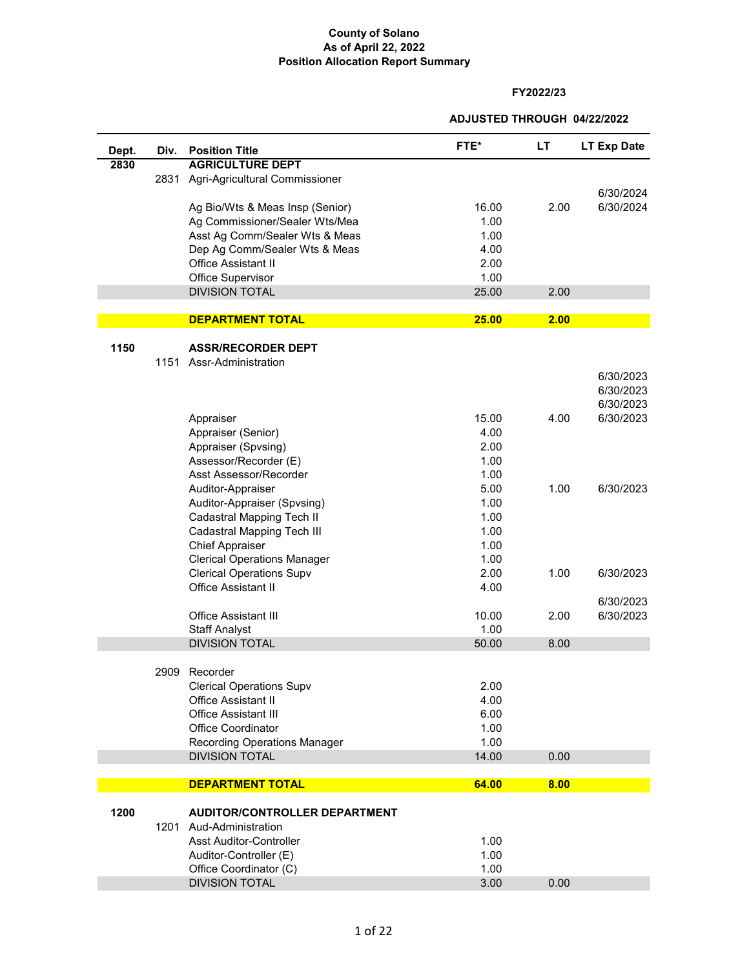#### **FY2022/23**

**ADJUSTED THROUGH 04/22/2022**

| Dept. | Div. | <b>Position Title</b>                | FTE*  | LT.  | <b>LT Exp Date</b> |
|-------|------|--------------------------------------|-------|------|--------------------|
| 2830  |      | <b>AGRICULTURE DEPT</b>              |       |      |                    |
|       | 2831 | Agri-Agricultural Commissioner       |       |      |                    |
|       |      |                                      |       |      | 6/30/2024          |
|       |      | Ag Bio/Wts & Meas Insp (Senior)      | 16.00 | 2.00 | 6/30/2024          |
|       |      | Ag Commissioner/Sealer Wts/Mea       | 1.00  |      |                    |
|       |      | Asst Ag Comm/Sealer Wts & Meas       | 1.00  |      |                    |
|       |      | Dep Ag Comm/Sealer Wts & Meas        | 4.00  |      |                    |
|       |      | <b>Office Assistant II</b>           | 2.00  |      |                    |
|       |      | Office Supervisor                    | 1.00  |      |                    |
|       |      | <b>DIVISION TOTAL</b>                | 25.00 | 2.00 |                    |
|       |      |                                      |       |      |                    |
|       |      | <b>DEPARTMENT TOTAL</b>              | 25.00 | 2.00 |                    |
|       |      |                                      |       |      |                    |
| 1150  |      | <b>ASSR/RECORDER DEPT</b>            |       |      |                    |
|       |      | 1151 Assr-Administration             |       |      |                    |
|       |      |                                      |       |      | 6/30/2023          |
|       |      |                                      |       |      | 6/30/2023          |
|       |      |                                      |       |      | 6/30/2023          |
|       |      | Appraiser                            | 15.00 | 4.00 | 6/30/2023          |
|       |      | Appraiser (Senior)                   | 4.00  |      |                    |
|       |      | Appraiser (Spvsing)                  | 2.00  |      |                    |
|       |      | Assessor/Recorder (E)                | 1.00  |      |                    |
|       |      | Asst Assessor/Recorder               | 1.00  |      |                    |
|       |      | Auditor-Appraiser                    | 5.00  | 1.00 | 6/30/2023          |
|       |      | Auditor-Appraiser (Spvsing)          | 1.00  |      |                    |
|       |      | Cadastral Mapping Tech II            | 1.00  |      |                    |
|       |      | Cadastral Mapping Tech III           | 1.00  |      |                    |
|       |      | <b>Chief Appraiser</b>               | 1.00  |      |                    |
|       |      | <b>Clerical Operations Manager</b>   | 1.00  |      |                    |
|       |      | <b>Clerical Operations Supv</b>      | 2.00  | 1.00 | 6/30/2023          |
|       |      | <b>Office Assistant II</b>           | 4.00  |      |                    |
|       |      |                                      |       |      | 6/30/2023          |
|       |      | <b>Office Assistant III</b>          | 10.00 | 2.00 | 6/30/2023          |
|       |      | <b>Staff Analyst</b>                 | 1.00  |      |                    |
|       |      | <b>DIVISION TOTAL</b>                | 50.00 | 8.00 |                    |
|       |      |                                      |       |      |                    |
|       | 2909 | Recorder                             |       |      |                    |
|       |      | <b>Clerical Operations Supv</b>      | 2.00  |      |                    |
|       |      | <b>Office Assistant II</b>           | 4.00  |      |                    |
|       |      | <b>Office Assistant III</b>          | 6.00  |      |                    |
|       |      | <b>Office Coordinator</b>            | 1.00  |      |                    |
|       |      | <b>Recording Operations Manager</b>  | 1.00  |      |                    |
|       |      | <b>DIVISION TOTAL</b>                | 14.00 | 0.00 |                    |
|       |      |                                      |       |      |                    |
|       |      | <b>DEPARTMENT TOTAL</b>              | 64.00 | 8.00 |                    |
| 1200  |      | <b>AUDITOR/CONTROLLER DEPARTMENT</b> |       |      |                    |
|       |      | 1201 Aud-Administration              |       |      |                    |
|       |      | <b>Asst Auditor-Controller</b>       | 1.00  |      |                    |
|       |      | Auditor-Controller (E)               | 1.00  |      |                    |
|       |      | Office Coordinator (C)               | 1.00  |      |                    |
|       |      | <b>DIVISION TOTAL</b>                | 3.00  | 0.00 |                    |
|       |      |                                      |       |      |                    |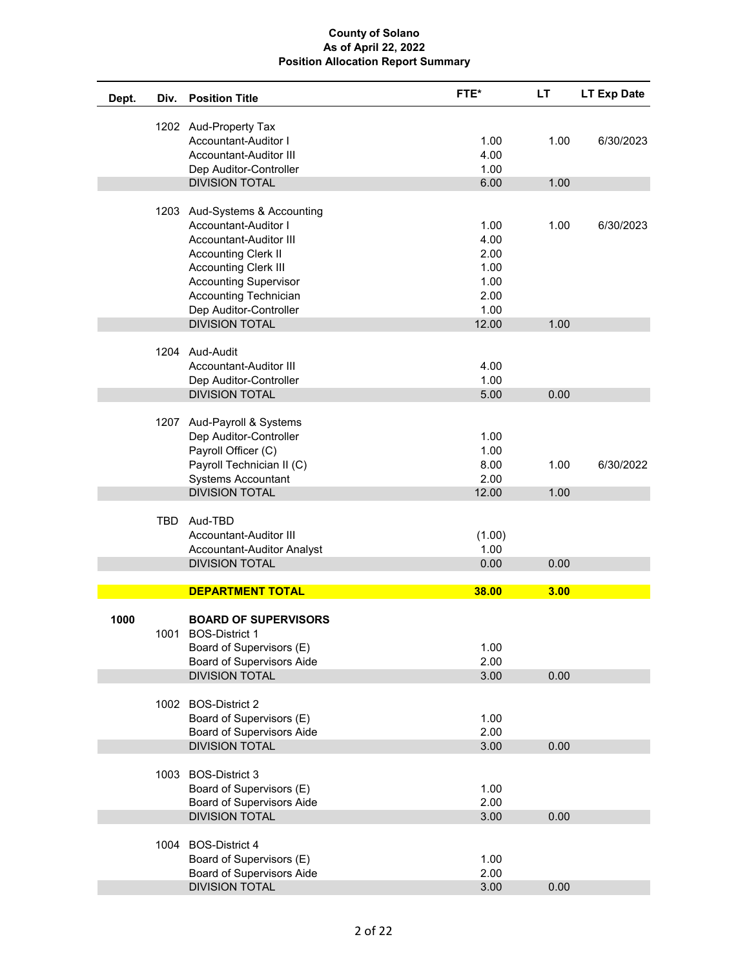| Dept. | Div.       | <b>Position Title</b>                                                                                                                                                        | FTE*                                          | LT   | <b>LT Exp Date</b> |
|-------|------------|------------------------------------------------------------------------------------------------------------------------------------------------------------------------------|-----------------------------------------------|------|--------------------|
|       |            | 1202 Aud-Property Tax<br>Accountant-Auditor I<br>Accountant-Auditor III<br>Dep Auditor-Controller                                                                            | 1.00<br>4.00<br>1.00                          | 1.00 | 6/30/2023          |
|       |            | <b>DIVISION TOTAL</b>                                                                                                                                                        | 6.00                                          | 1.00 |                    |
|       |            | 1203 Aud-Systems & Accounting<br>Accountant-Auditor I<br>Accountant-Auditor III                                                                                              | 1.00<br>4.00                                  | 1.00 | 6/30/2023          |
|       |            | <b>Accounting Clerk II</b><br><b>Accounting Clerk III</b><br><b>Accounting Supervisor</b><br><b>Accounting Technician</b><br>Dep Auditor-Controller<br><b>DIVISION TOTAL</b> | 2.00<br>1.00<br>1.00<br>2.00<br>1.00<br>12.00 | 1.00 |                    |
|       |            |                                                                                                                                                                              |                                               |      |                    |
|       |            | 1204 Aud-Audit<br>Accountant-Auditor III<br>Dep Auditor-Controller<br><b>DIVISION TOTAL</b>                                                                                  | 4.00<br>1.00<br>5.00                          | 0.00 |                    |
|       |            |                                                                                                                                                                              |                                               |      |                    |
|       |            | 1207 Aud-Payroll & Systems<br>Dep Auditor-Controller<br>Payroll Officer (C)<br>Payroll Technician II (C)                                                                     | 1.00<br>1.00<br>8.00                          | 1.00 | 6/30/2022          |
|       |            | <b>Systems Accountant</b>                                                                                                                                                    | 2.00                                          |      |                    |
|       |            | <b>DIVISION TOTAL</b>                                                                                                                                                        | 12.00                                         | 1.00 |                    |
|       | <b>TBD</b> | Aud-TBD<br>Accountant-Auditor III<br>Accountant-Auditor Analyst                                                                                                              | (1.00)<br>1.00                                |      |                    |
|       |            | <b>DIVISION TOTAL</b>                                                                                                                                                        | 0.00                                          | 0.00 |                    |
|       |            |                                                                                                                                                                              |                                               |      |                    |
|       |            | <b>DEPARTMENT TOTAL</b>                                                                                                                                                      | 38.00                                         | 3.00 |                    |
| 1000  |            | <b>BOARD OF SUPERVISORS</b><br>1001 BOS-District 1                                                                                                                           |                                               |      |                    |
|       |            | Board of Supervisors (E)<br><b>Board of Supervisors Aide</b>                                                                                                                 | 1.00<br>2.00                                  |      |                    |
|       |            | <b>DIVISION TOTAL</b>                                                                                                                                                        | 3.00                                          | 0.00 |                    |
|       |            | 1002 BOS-District 2<br>Board of Supervisors (E)                                                                                                                              | 1.00                                          |      |                    |
|       |            | <b>Board of Supervisors Aide</b>                                                                                                                                             | 2.00                                          |      |                    |
|       |            | <b>DIVISION TOTAL</b>                                                                                                                                                        | 3.00                                          | 0.00 |                    |
|       |            |                                                                                                                                                                              |                                               |      |                    |
|       |            | 1003 BOS-District 3                                                                                                                                                          |                                               |      |                    |
|       |            | Board of Supervisors (E)<br><b>Board of Supervisors Aide</b>                                                                                                                 | 1.00<br>2.00                                  |      |                    |
|       |            | <b>DIVISION TOTAL</b>                                                                                                                                                        | 3.00                                          | 0.00 |                    |
|       |            | 1004 BOS-District 4                                                                                                                                                          |                                               |      |                    |
|       |            | Board of Supervisors (E)                                                                                                                                                     | 1.00                                          |      |                    |
|       |            | <b>Board of Supervisors Aide</b><br><b>DIVISION TOTAL</b>                                                                                                                    | 2.00<br>3.00                                  | 0.00 |                    |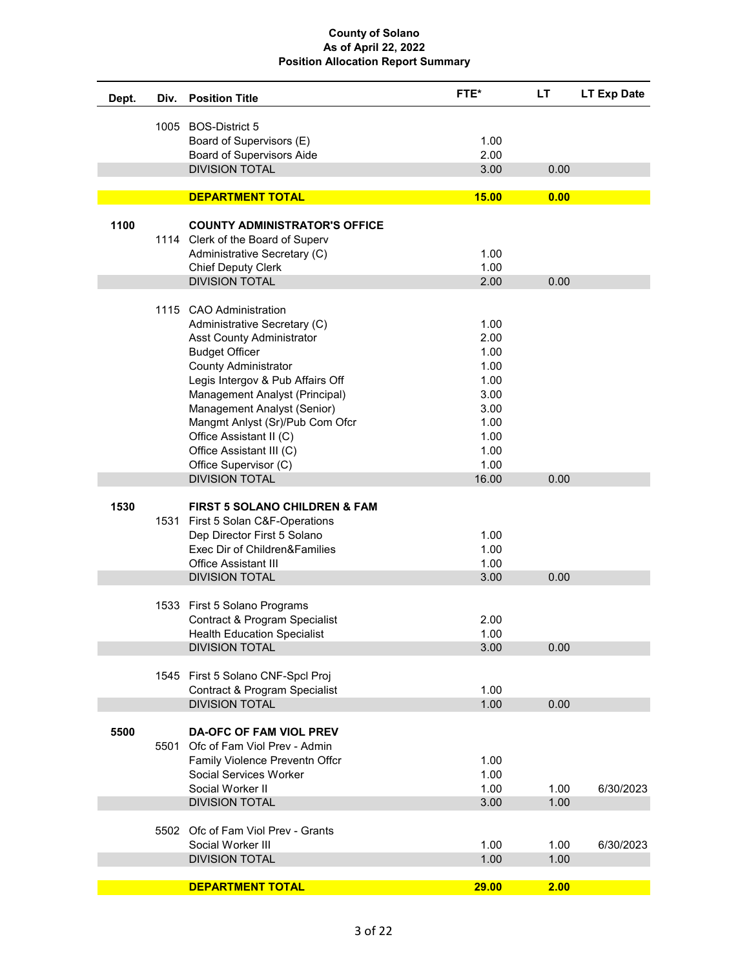| Dept. | Div. | <b>Position Title</b>                                        | FTE*         | LT           | <b>LT Exp Date</b> |
|-------|------|--------------------------------------------------------------|--------------|--------------|--------------------|
|       |      | 1005 BOS-District 5                                          |              |              |                    |
|       |      | Board of Supervisors (E)                                     | 1.00         |              |                    |
|       |      | <b>Board of Supervisors Aide</b>                             | 2.00         |              |                    |
|       |      | <b>DIVISION TOTAL</b>                                        | 3.00         | 0.00         |                    |
|       |      |                                                              |              |              |                    |
|       |      | <b>DEPARTMENT TOTAL</b>                                      | 15.00        | 0.00         |                    |
| 1100  |      | <b>COUNTY ADMINISTRATOR'S OFFICE</b>                         |              |              |                    |
|       |      | 1114 Clerk of the Board of Superv                            |              |              |                    |
|       |      | Administrative Secretary (C)                                 | 1.00         |              |                    |
|       |      | <b>Chief Deputy Clerk</b>                                    | 1.00         |              |                    |
|       |      | <b>DIVISION TOTAL</b>                                        | 2.00         | 0.00         |                    |
|       |      |                                                              |              |              |                    |
|       |      | 1115 CAO Administration                                      |              |              |                    |
|       |      | Administrative Secretary (C)                                 | 1.00         |              |                    |
|       |      | <b>Asst County Administrator</b>                             | 2.00         |              |                    |
|       |      | <b>Budget Officer</b>                                        | 1.00         |              |                    |
|       |      | <b>County Administrator</b>                                  | 1.00         |              |                    |
|       |      | Legis Intergov & Pub Affairs Off                             | 1.00         |              |                    |
|       |      | Management Analyst (Principal)                               | 3.00         |              |                    |
|       |      | Management Analyst (Senior)                                  | 3.00         |              |                    |
|       |      | Mangmt Anlyst (Sr)/Pub Com Ofcr                              | 1.00         |              |                    |
|       |      | Office Assistant II (C)                                      | 1.00         |              |                    |
|       |      | Office Assistant III (C)                                     | 1.00         |              |                    |
|       |      | Office Supervisor (C)                                        | 1.00         |              |                    |
|       |      | <b>DIVISION TOTAL</b>                                        | 16.00        | 0.00         |                    |
|       |      |                                                              |              |              |                    |
| 1530  |      | <b>FIRST 5 SOLANO CHILDREN &amp; FAM</b>                     |              |              |                    |
|       |      | 1531 First 5 Solan C&F-Operations                            | 1.00         |              |                    |
|       |      | Dep Director First 5 Solano<br>Exec Dir of Children&Families | 1.00         |              |                    |
|       |      | <b>Office Assistant III</b>                                  | 1.00         |              |                    |
|       |      | <b>DIVISION TOTAL</b>                                        | 3.00         | 0.00         |                    |
|       |      |                                                              |              |              |                    |
|       |      | 1533 First 5 Solano Programs                                 |              |              |                    |
|       |      | Contract & Program Specialist                                | 2.00         |              |                    |
|       |      | <b>Health Education Specialist</b>                           | 1.00         |              |                    |
|       |      | <b>DIVISION TOTAL</b>                                        | 3.00         | 0.00         |                    |
|       |      |                                                              |              |              |                    |
|       |      | 1545 First 5 Solano CNF-Spcl Proj                            |              |              |                    |
|       |      | Contract & Program Specialist                                | 1.00         |              |                    |
|       |      | <b>DIVISION TOTAL</b>                                        | 1.00         | 0.00         |                    |
|       |      |                                                              |              |              |                    |
| 5500  |      | <b>DA-OFC OF FAM VIOL PREV</b>                               |              |              |                    |
|       | 5501 | Ofc of Fam Viol Prev - Admin                                 |              |              |                    |
|       |      | Family Violence Preventn Offcr                               | 1.00         |              |                    |
|       |      | Social Services Worker                                       | 1.00         |              |                    |
|       |      | Social Worker II                                             | 1.00         | 1.00         | 6/30/2023          |
|       |      | <b>DIVISION TOTAL</b>                                        | 3.00         | 1.00         |                    |
|       |      |                                                              |              |              |                    |
|       |      | 5502 Ofc of Fam Viol Prev - Grants                           |              |              |                    |
|       |      | Social Worker III<br><b>DIVISION TOTAL</b>                   | 1.00<br>1.00 | 1.00<br>1.00 | 6/30/2023          |
|       |      |                                                              |              |              |                    |
|       |      | <b>DEPARTMENT TOTAL</b>                                      | 29.00        | 2.00         |                    |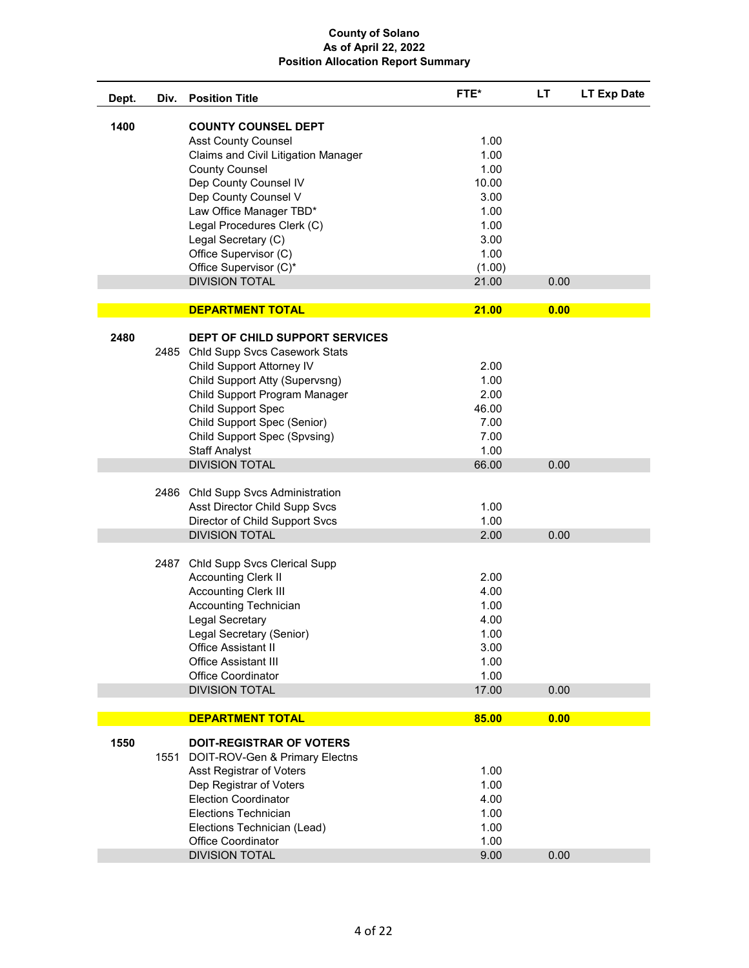| Dept. | Div. | <b>Position Title</b>                 | FTE*   | LT   | <b>LT Exp Date</b> |
|-------|------|---------------------------------------|--------|------|--------------------|
| 1400  |      | <b>COUNTY COUNSEL DEPT</b>            |        |      |                    |
|       |      | <b>Asst County Counsel</b>            | 1.00   |      |                    |
|       |      | Claims and Civil Litigation Manager   | 1.00   |      |                    |
|       |      | <b>County Counsel</b>                 | 1.00   |      |                    |
|       |      | Dep County Counsel IV                 | 10.00  |      |                    |
|       |      | Dep County Counsel V                  | 3.00   |      |                    |
|       |      | Law Office Manager TBD*               | 1.00   |      |                    |
|       |      | Legal Procedures Clerk (C)            | 1.00   |      |                    |
|       |      | Legal Secretary (C)                   | 3.00   |      |                    |
|       |      | Office Supervisor (C)                 | 1.00   |      |                    |
|       |      | Office Supervisor (C)*                | (1.00) |      |                    |
|       |      | <b>DIVISION TOTAL</b>                 | 21.00  | 0.00 |                    |
|       |      | <b>DEPARTMENT TOTAL</b>               | 21.00  | 0.00 |                    |
| 2480  |      | <b>DEPT OF CHILD SUPPORT SERVICES</b> |        |      |                    |
|       |      | 2485 Chld Supp Svcs Casework Stats    |        |      |                    |
|       |      | Child Support Attorney IV             | 2.00   |      |                    |
|       |      | Child Support Atty (Supervsng)        | 1.00   |      |                    |
|       |      | Child Support Program Manager         | 2.00   |      |                    |
|       |      | Child Support Spec                    | 46.00  |      |                    |
|       |      | Child Support Spec (Senior)           | 7.00   |      |                    |
|       |      | Child Support Spec (Spvsing)          | 7.00   |      |                    |
|       |      | <b>Staff Analyst</b>                  | 1.00   |      |                    |
|       |      | <b>DIVISION TOTAL</b>                 | 66.00  | 0.00 |                    |
|       |      | 2486 Chld Supp Svcs Administration    |        |      |                    |
|       |      | Asst Director Child Supp Svcs         | 1.00   |      |                    |
|       |      | Director of Child Support Svcs        | 1.00   |      |                    |
|       |      | <b>DIVISION TOTAL</b>                 | 2.00   | 0.00 |                    |
|       | 2487 | Chld Supp Svcs Clerical Supp          |        |      |                    |
|       |      | <b>Accounting Clerk II</b>            | 2.00   |      |                    |
|       |      | <b>Accounting Clerk III</b>           | 4.00   |      |                    |
|       |      | Accounting Technician                 | 1.00   |      |                    |
|       |      | Legal Secretary                       | 4.00   |      |                    |
|       |      | Legal Secretary (Senior)              | 1.00   |      |                    |
|       |      | Office Assistant II                   | 3.00   |      |                    |
|       |      | <b>Office Assistant III</b>           | 1.00   |      |                    |
|       |      | <b>Office Coordinator</b>             | 1.00   |      |                    |
|       |      | <b>DIVISION TOTAL</b>                 | 17.00  | 0.00 |                    |
|       |      | <b>DEPARTMENT TOTAL</b>               | 85.00  | 0.00 |                    |
| 1550  |      | <b>DOIT-REGISTRAR OF VOTERS</b>       |        |      |                    |
|       |      | 1551 DOIT-ROV-Gen & Primary Electns   |        |      |                    |
|       |      | Asst Registrar of Voters              | 1.00   |      |                    |
|       |      | Dep Registrar of Voters               | 1.00   |      |                    |
|       |      | <b>Election Coordinator</b>           | 4.00   |      |                    |
|       |      | <b>Elections Technician</b>           | 1.00   |      |                    |
|       |      | Elections Technician (Lead)           | 1.00   |      |                    |
|       |      | Office Coordinator                    | 1.00   |      |                    |
|       |      | <b>DIVISION TOTAL</b>                 | 9.00   | 0.00 |                    |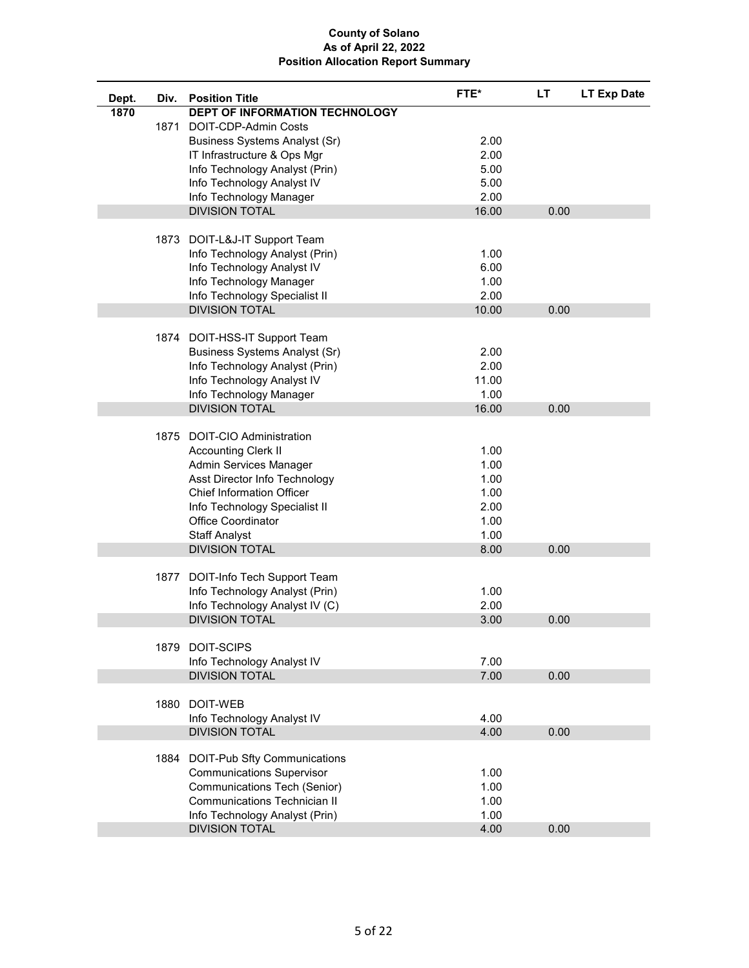| Dept. | Div. | <b>Position Title</b>                | FTE*  | <b>LT</b> | <b>LT Exp Date</b> |
|-------|------|--------------------------------------|-------|-----------|--------------------|
| 1870  |      | DEPT OF INFORMATION TECHNOLOGY       |       |           |                    |
|       |      | 1871 DOIT-CDP-Admin Costs            |       |           |                    |
|       |      | <b>Business Systems Analyst (Sr)</b> | 2.00  |           |                    |
|       |      | IT Infrastructure & Ops Mgr          | 2.00  |           |                    |
|       |      | Info Technology Analyst (Prin)       | 5.00  |           |                    |
|       |      | Info Technology Analyst IV           | 5.00  |           |                    |
|       |      | Info Technology Manager              | 2.00  |           |                    |
|       |      | <b>DIVISION TOTAL</b>                | 16.00 | 0.00      |                    |
|       |      |                                      |       |           |                    |
|       |      | 1873 DOIT-L&J-IT Support Team        |       |           |                    |
|       |      | Info Technology Analyst (Prin)       | 1.00  |           |                    |
|       |      | Info Technology Analyst IV           | 6.00  |           |                    |
|       |      | Info Technology Manager              | 1.00  |           |                    |
|       |      | Info Technology Specialist II        | 2.00  |           |                    |
|       |      | <b>DIVISION TOTAL</b>                | 10.00 | 0.00      |                    |
|       |      |                                      |       |           |                    |
|       |      | 1874 DOIT-HSS-IT Support Team        |       |           |                    |
|       |      | <b>Business Systems Analyst (Sr)</b> | 2.00  |           |                    |
|       |      | Info Technology Analyst (Prin)       | 2.00  |           |                    |
|       |      | Info Technology Analyst IV           | 11.00 |           |                    |
|       |      | Info Technology Manager              | 1.00  |           |                    |
|       |      | <b>DIVISION TOTAL</b>                | 16.00 | 0.00      |                    |
|       |      |                                      |       |           |                    |
|       |      | 1875 DOIT-CIO Administration         |       |           |                    |
|       |      | <b>Accounting Clerk II</b>           | 1.00  |           |                    |
|       |      | Admin Services Manager               | 1.00  |           |                    |
|       |      | Asst Director Info Technology        | 1.00  |           |                    |
|       |      | <b>Chief Information Officer</b>     | 1.00  |           |                    |
|       |      | Info Technology Specialist II        | 2.00  |           |                    |
|       |      | <b>Office Coordinator</b>            | 1.00  |           |                    |
|       |      | <b>Staff Analyst</b>                 | 1.00  |           |                    |
|       |      | <b>DIVISION TOTAL</b>                | 8.00  | 0.00      |                    |
|       |      |                                      |       |           |                    |
|       |      | 1877 DOIT-Info Tech Support Team     |       |           |                    |
|       |      | Info Technology Analyst (Prin)       | 1.00  |           |                    |
|       |      | Info Technology Analyst IV (C)       | 2.00  |           |                    |
|       |      | <b>DIVISION TOTAL</b>                | 3.00  | 0.00      |                    |
|       |      |                                      |       |           |                    |
|       |      | 1879 DOIT-SCIPS                      |       |           |                    |
|       |      | Info Technology Analyst IV           | 7.00  |           |                    |
|       |      | <b>DIVISION TOTAL</b>                | 7.00  | 0.00      |                    |
|       |      |                                      |       |           |                    |
|       |      | 1880 DOIT-WEB                        |       |           |                    |
|       |      | Info Technology Analyst IV           | 4.00  |           |                    |
|       |      | <b>DIVISION TOTAL</b>                | 4.00  | 0.00      |                    |
|       |      | 1884 DOIT-Pub Sfty Communications    |       |           |                    |
|       |      | <b>Communications Supervisor</b>     | 1.00  |           |                    |
|       |      | Communications Tech (Senior)         | 1.00  |           |                    |
|       |      | Communications Technician II         | 1.00  |           |                    |
|       |      | Info Technology Analyst (Prin)       | 1.00  |           |                    |
|       |      | <b>DIVISION TOTAL</b>                | 4.00  | 0.00      |                    |
|       |      |                                      |       |           |                    |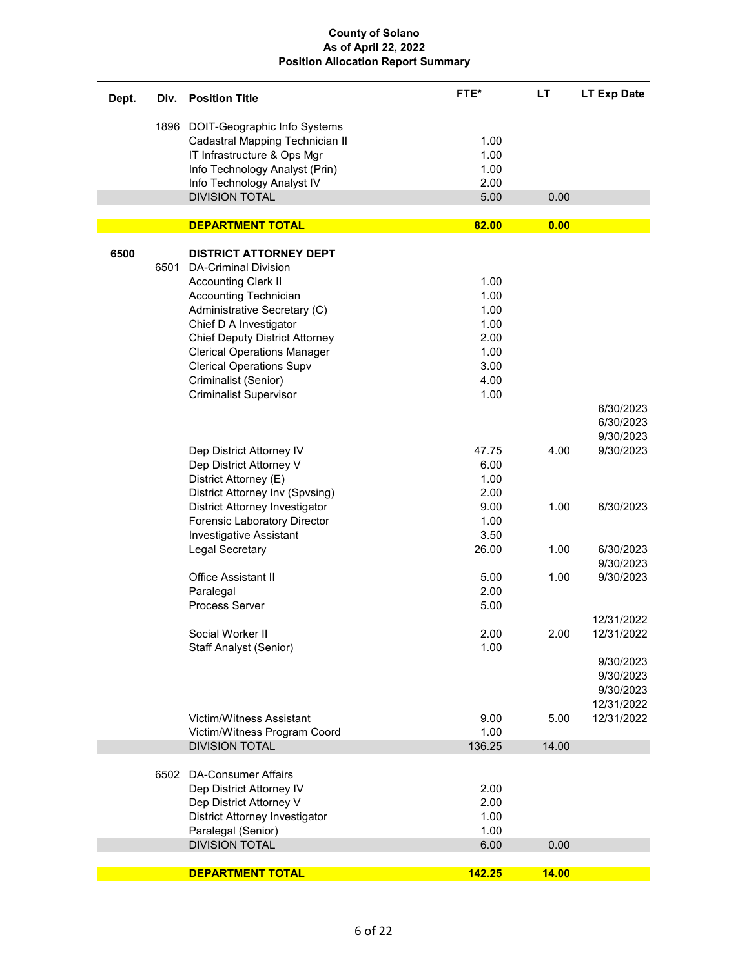| Dept. | Div. | <b>Position Title</b>                 | FTE*   | LT           | <b>LT Exp Date</b> |
|-------|------|---------------------------------------|--------|--------------|--------------------|
|       |      | 1896 DOIT-Geographic Info Systems     |        |              |                    |
|       |      | Cadastral Mapping Technician II       | 1.00   |              |                    |
|       |      | IT Infrastructure & Ops Mgr           | 1.00   |              |                    |
|       |      | Info Technology Analyst (Prin)        | 1.00   |              |                    |
|       |      | Info Technology Analyst IV            | 2.00   |              |                    |
|       |      | <b>DIVISION TOTAL</b>                 | 5.00   | 0.00         |                    |
|       |      |                                       |        |              |                    |
|       |      | <b>DEPARTMENT TOTAL</b>               | 82.00  | 0.00         |                    |
| 6500  |      | <b>DISTRICT ATTORNEY DEPT</b>         |        |              |                    |
|       | 6501 | <b>DA-Criminal Division</b>           |        |              |                    |
|       |      | <b>Accounting Clerk II</b>            | 1.00   |              |                    |
|       |      | <b>Accounting Technician</b>          | 1.00   |              |                    |
|       |      | Administrative Secretary (C)          | 1.00   |              |                    |
|       |      | Chief D A Investigator                | 1.00   |              |                    |
|       |      | <b>Chief Deputy District Attorney</b> | 2.00   |              |                    |
|       |      | <b>Clerical Operations Manager</b>    | 1.00   |              |                    |
|       |      | <b>Clerical Operations Supv</b>       | 3.00   |              |                    |
|       |      | Criminalist (Senior)                  | 4.00   |              |                    |
|       |      | <b>Criminalist Supervisor</b>         | 1.00   |              |                    |
|       |      |                                       |        |              | 6/30/2023          |
|       |      |                                       |        |              | 6/30/2023          |
|       |      |                                       |        |              | 9/30/2023          |
|       |      | Dep District Attorney IV              | 47.75  | 4.00         | 9/30/2023          |
|       |      | Dep District Attorney V               | 6.00   |              |                    |
|       |      | District Attorney (E)                 | 1.00   |              |                    |
|       |      | District Attorney Inv (Spvsing)       | 2.00   |              |                    |
|       |      | District Attorney Investigator        | 9.00   | 1.00         | 6/30/2023          |
|       |      | Forensic Laboratory Director          | 1.00   |              |                    |
|       |      | <b>Investigative Assistant</b>        | 3.50   |              |                    |
|       |      | Legal Secretary                       | 26.00  | 1.00         | 6/30/2023          |
|       |      |                                       |        |              | 9/30/2023          |
|       |      | <b>Office Assistant II</b>            | 5.00   | 1.00         | 9/30/2023          |
|       |      | Paralegal                             | 2.00   |              |                    |
|       |      | <b>Process Server</b>                 | 5.00   |              |                    |
|       |      |                                       |        |              | 12/31/2022         |
|       |      | Social Worker II                      | 2.00   | 2.00         | 12/31/2022         |
|       |      | <b>Staff Analyst (Senior)</b>         | 1.00   |              |                    |
|       |      |                                       |        |              | 9/30/2023          |
|       |      |                                       |        |              | 9/30/2023          |
|       |      |                                       |        |              | 9/30/2023          |
|       |      |                                       |        |              | 12/31/2022         |
|       |      | Victim/Witness Assistant              | 9.00   | 5.00         | 12/31/2022         |
|       |      | Victim/Witness Program Coord          | 1.00   |              |                    |
|       |      | <b>DIVISION TOTAL</b>                 | 136.25 | 14.00        |                    |
|       |      |                                       |        |              |                    |
|       |      | 6502 DA-Consumer Affairs              |        |              |                    |
|       |      | Dep District Attorney IV              | 2.00   |              |                    |
|       |      | Dep District Attorney V               | 2.00   |              |                    |
|       |      | <b>District Attorney Investigator</b> | 1.00   |              |                    |
|       |      | Paralegal (Senior)                    | 1.00   |              |                    |
|       |      | <b>DIVISION TOTAL</b>                 | 6.00   | 0.00         |                    |
|       |      | <b>DEPARTMENT TOTAL</b>               | 142.25 | <b>14.00</b> |                    |
|       |      |                                       |        |              |                    |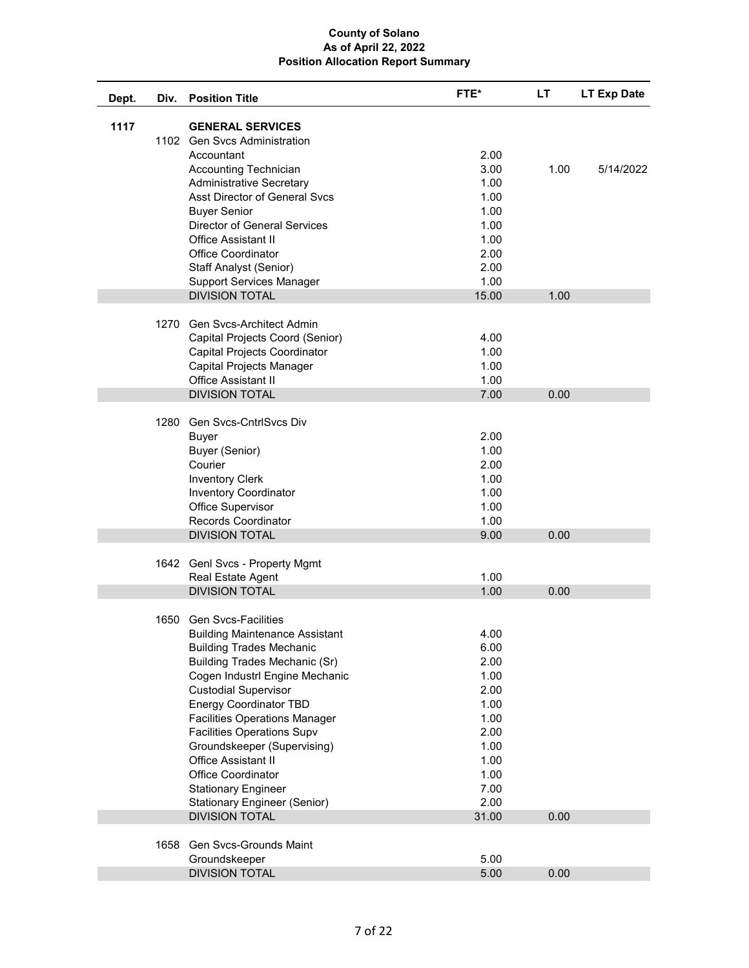| Dept. | Div. | <b>Position Title</b>                                                     | FTE*          | LT.  | LT Exp Date |
|-------|------|---------------------------------------------------------------------------|---------------|------|-------------|
| 1117  |      | <b>GENERAL SERVICES</b><br>1102 Gen Svcs Administration                   |               |      |             |
|       |      | Accountant                                                                | 2.00          |      |             |
|       |      | Accounting Technician                                                     | 3.00          | 1.00 | 5/14/2022   |
|       |      | <b>Administrative Secretary</b>                                           | 1.00          |      |             |
|       |      | Asst Director of General Svcs                                             | 1.00          |      |             |
|       |      | <b>Buyer Senior</b>                                                       | 1.00          |      |             |
|       |      | <b>Director of General Services</b>                                       | 1.00          |      |             |
|       |      | <b>Office Assistant II</b>                                                | 1.00          |      |             |
|       |      | <b>Office Coordinator</b>                                                 | 2.00          |      |             |
|       |      | Staff Analyst (Senior)                                                    | 2.00          |      |             |
|       |      | <b>Support Services Manager</b>                                           | 1.00          |      |             |
|       |      | <b>DIVISION TOTAL</b>                                                     | 15.00         | 1.00 |             |
|       |      |                                                                           |               |      |             |
|       |      | 1270 Gen Svcs-Architect Admin                                             |               |      |             |
|       |      | Capital Projects Coord (Senior)                                           | 4.00          |      |             |
|       |      | <b>Capital Projects Coordinator</b>                                       | 1.00          |      |             |
|       |      | Capital Projects Manager                                                  | 1.00          |      |             |
|       |      | <b>Office Assistant II</b>                                                | 1.00          |      |             |
|       |      | <b>DIVISION TOTAL</b>                                                     | 7.00          | 0.00 |             |
|       | 1280 | Gen Svcs-CntrlSvcs Div                                                    |               |      |             |
|       |      | <b>Buyer</b>                                                              | 2.00          |      |             |
|       |      | Buyer (Senior)                                                            | 1.00          |      |             |
|       |      | Courier                                                                   | 2.00          |      |             |
|       |      | <b>Inventory Clerk</b>                                                    | 1.00          |      |             |
|       |      | <b>Inventory Coordinator</b>                                              | 1.00          |      |             |
|       |      | Office Supervisor                                                         | 1.00          |      |             |
|       |      | <b>Records Coordinator</b>                                                | 1.00          |      |             |
|       |      | <b>DIVISION TOTAL</b>                                                     | 9.00          | 0.00 |             |
|       |      |                                                                           |               |      |             |
|       |      | 1642 Genl Svcs - Property Mgmt                                            |               |      |             |
|       |      | Real Estate Agent                                                         | 1.00          |      |             |
|       |      | <b>DIVISION TOTAL</b>                                                     | 1.00          | 0.00 |             |
|       |      |                                                                           |               |      |             |
|       |      | 1650 Gen Sycs-Facilities                                                  |               |      |             |
|       |      | <b>Building Maintenance Assistant</b>                                     | 4.00          |      |             |
|       |      | <b>Building Trades Mechanic</b>                                           | 6.00          |      |             |
|       |      | <b>Building Trades Mechanic (Sr)</b><br>Cogen Industrl Engine Mechanic    | 2.00          |      |             |
|       |      | <b>Custodial Supervisor</b>                                               | 1.00          |      |             |
|       |      |                                                                           | 2.00          |      |             |
|       |      | <b>Energy Coordinator TBD</b>                                             | 1.00          |      |             |
|       |      | <b>Facilities Operations Manager</b><br><b>Facilities Operations Supv</b> | 1.00          |      |             |
|       |      |                                                                           | 2.00          |      |             |
|       |      | Groundskeeper (Supervising)<br><b>Office Assistant II</b>                 | 1.00          |      |             |
|       |      |                                                                           | 1.00          |      |             |
|       |      | Office Coordinator                                                        | 1.00          |      |             |
|       |      | <b>Stationary Engineer</b>                                                | 7.00          |      |             |
|       |      | Stationary Engineer (Senior)<br><b>DIVISION TOTAL</b>                     | 2.00<br>31.00 | 0.00 |             |
|       |      |                                                                           |               |      |             |
|       |      | 1658 Gen Svcs-Grounds Maint                                               |               |      |             |
|       |      | Groundskeeper                                                             | 5.00          |      |             |
|       |      | <b>DIVISION TOTAL</b>                                                     | 5.00          | 0.00 |             |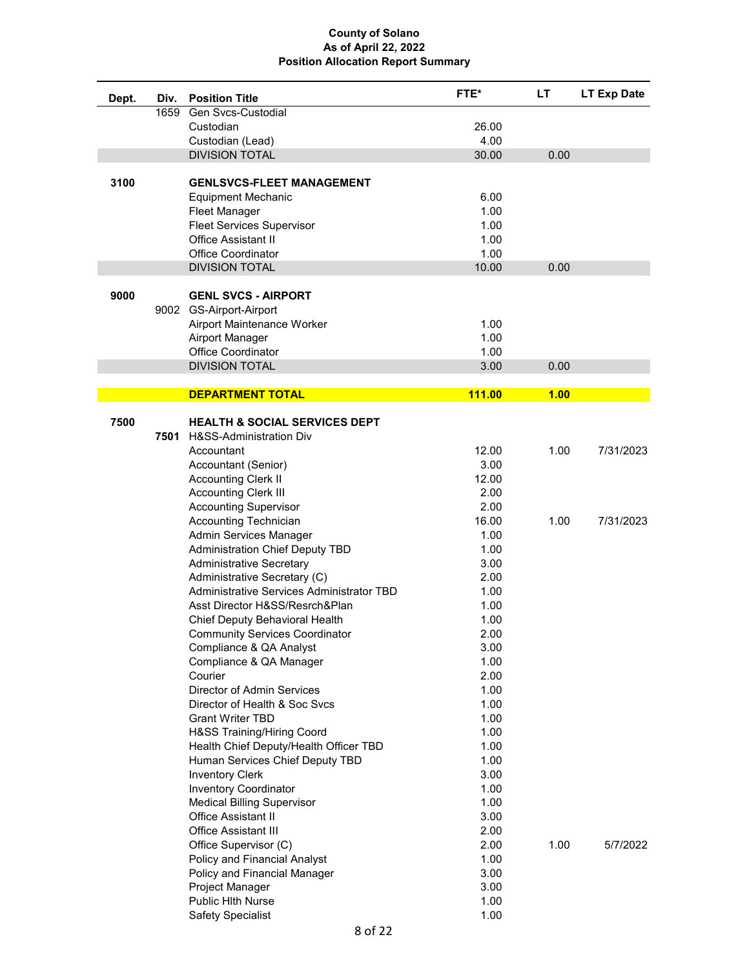| Dept. | Div. | <b>Position Title</b>                                                     | FTE*         | <b>LT</b> | LT Exp Date |
|-------|------|---------------------------------------------------------------------------|--------------|-----------|-------------|
|       | 1659 | Gen Svcs-Custodial                                                        |              |           |             |
|       |      | Custodian                                                                 | 26.00        |           |             |
|       |      | Custodian (Lead)                                                          | 4.00         |           |             |
|       |      | <b>DIVISION TOTAL</b>                                                     | 30.00        | 0.00      |             |
|       |      |                                                                           |              |           |             |
| 3100  |      | <b>GENLSVCS-FLEET MANAGEMENT</b>                                          |              |           |             |
|       |      | <b>Equipment Mechanic</b>                                                 | 6.00         |           |             |
|       |      | Fleet Manager                                                             | 1.00         |           |             |
|       |      | <b>Fleet Services Supervisor</b>                                          | 1.00         |           |             |
|       |      | Office Assistant II                                                       | 1.00         |           |             |
|       |      | <b>Office Coordinator</b>                                                 | 1.00         |           |             |
|       |      | <b>DIVISION TOTAL</b>                                                     | 10.00        | 0.00      |             |
|       |      |                                                                           |              |           |             |
| 9000  |      | <b>GENL SVCS - AIRPORT</b>                                                |              |           |             |
|       |      | 9002 GS-Airport-Airport                                                   |              |           |             |
|       |      | Airport Maintenance Worker                                                | 1.00         |           |             |
|       |      | Airport Manager                                                           | 1.00         |           |             |
|       |      | <b>Office Coordinator</b>                                                 | 1.00         |           |             |
|       |      | <b>DIVISION TOTAL</b>                                                     | 3.00         | 0.00      |             |
|       |      | <b>DEPARTMENT TOTAL</b>                                                   | 111.00       | 1.00      |             |
|       |      |                                                                           |              |           |             |
| 7500  |      | <b>HEALTH &amp; SOCIAL SERVICES DEPT</b>                                  |              |           |             |
|       | 7501 | H&SS-Administration Div                                                   |              |           |             |
|       |      | Accountant                                                                | 12.00        | 1.00      | 7/31/2023   |
|       |      | Accountant (Senior)                                                       | 3.00         |           |             |
|       |      | <b>Accounting Clerk II</b>                                                | 12.00        |           |             |
|       |      | <b>Accounting Clerk III</b>                                               | 2.00         |           |             |
|       |      | <b>Accounting Supervisor</b>                                              | 2.00         |           |             |
|       |      | <b>Accounting Technician</b>                                              | 16.00        | 1.00      | 7/31/2023   |
|       |      | Admin Services Manager                                                    | 1.00         |           |             |
|       |      | <b>Administration Chief Deputy TBD</b>                                    | 1.00         |           |             |
|       |      | <b>Administrative Secretary</b>                                           | 3.00<br>2.00 |           |             |
|       |      | Administrative Secretary (C)<br>Administrative Services Administrator TBD | 1.00         |           |             |
|       |      | Asst Director H&SS/Resrch&Plan                                            | 1.00         |           |             |
|       |      | Chief Deputy Behavioral Health                                            | 1.00         |           |             |
|       |      | <b>Community Services Coordinator</b>                                     | 2.00         |           |             |
|       |      | Compliance & QA Analyst                                                   | 3.00         |           |             |
|       |      | Compliance & QA Manager                                                   | 1.00         |           |             |
|       |      | Courier                                                                   | 2.00         |           |             |
|       |      | Director of Admin Services                                                | 1.00         |           |             |
|       |      | Director of Health & Soc Svcs                                             | 1.00         |           |             |
|       |      | <b>Grant Writer TBD</b>                                                   | 1.00         |           |             |
|       |      | H&SS Training/Hiring Coord                                                | 1.00         |           |             |
|       |      | Health Chief Deputy/Health Officer TBD                                    | 1.00         |           |             |
|       |      | Human Services Chief Deputy TBD                                           | 1.00         |           |             |
|       |      | <b>Inventory Clerk</b>                                                    | 3.00         |           |             |
|       |      | <b>Inventory Coordinator</b>                                              | 1.00         |           |             |
|       |      | <b>Medical Billing Supervisor</b>                                         | 1.00         |           |             |
|       |      | <b>Office Assistant II</b>                                                | 3.00         |           |             |
|       |      | <b>Office Assistant III</b>                                               | 2.00         |           |             |
|       |      | Office Supervisor (C)                                                     | 2.00         | 1.00      | 5/7/2022    |
|       |      | Policy and Financial Analyst                                              | 1.00         |           |             |
|       |      | Policy and Financial Manager                                              | 3.00         |           |             |
|       |      | Project Manager                                                           | 3.00         |           |             |
|       |      | Public Hlth Nurse                                                         | 1.00         |           |             |
|       |      | Safety Specialist                                                         | 1.00         |           |             |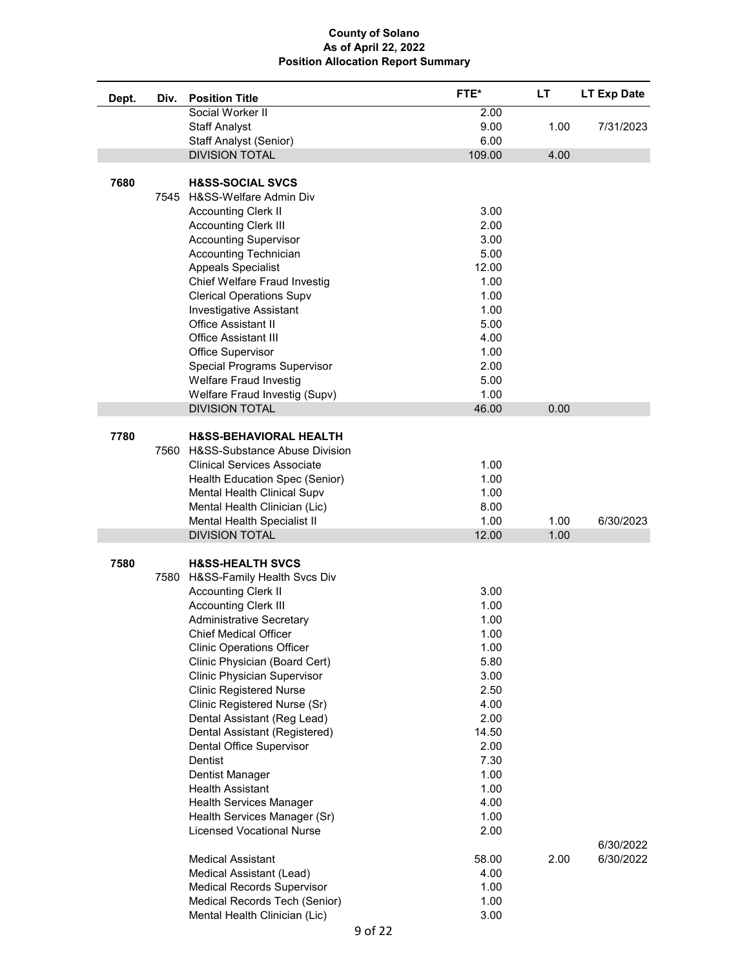| Dept. | Div. | <b>Position Title</b>                                            | FTE*         | LT   | LT Exp Date |
|-------|------|------------------------------------------------------------------|--------------|------|-------------|
|       |      | Social Worker II                                                 | 2.00         |      |             |
|       |      | <b>Staff Analyst</b>                                             | 9.00         | 1.00 | 7/31/2023   |
|       |      | Staff Analyst (Senior)                                           | 6.00         |      |             |
|       |      | <b>DIVISION TOTAL</b>                                            | 109.00       | 4.00 |             |
|       |      |                                                                  |              |      |             |
| 7680  |      | <b>H&amp;SS-SOCIAL SVCS</b>                                      |              |      |             |
|       | 7545 | H&SS-Welfare Admin Div                                           |              |      |             |
|       |      | <b>Accounting Clerk II</b>                                       | 3.00         |      |             |
|       |      | <b>Accounting Clerk III</b>                                      | 2.00         |      |             |
|       |      | <b>Accounting Supervisor</b>                                     | 3.00         |      |             |
|       |      | Accounting Technician                                            | 5.00         |      |             |
|       |      | <b>Appeals Specialist</b>                                        | 12.00        |      |             |
|       |      | Chief Welfare Fraud Investig                                     | 1.00         |      |             |
|       |      | <b>Clerical Operations Supv</b>                                  | 1.00         |      |             |
|       |      | <b>Investigative Assistant</b>                                   | 1.00         |      |             |
|       |      | <b>Office Assistant II</b>                                       | 5.00         |      |             |
|       |      | <b>Office Assistant III</b>                                      | 4.00         |      |             |
|       |      | Office Supervisor                                                | 1.00         |      |             |
|       |      | <b>Special Programs Supervisor</b>                               | 2.00         |      |             |
|       |      | <b>Welfare Fraud Investig</b>                                    | 5.00         |      |             |
|       |      | Welfare Fraud Investig (Supv)                                    | 1.00         |      |             |
|       |      | <b>DIVISION TOTAL</b>                                            | 46.00        | 0.00 |             |
| 7780  |      | H&SS-BEHAVIORAL HEALTH                                           |              |      |             |
|       | 7560 | H&SS-Substance Abuse Division                                    |              |      |             |
|       |      | <b>Clinical Services Associate</b>                               | 1.00         |      |             |
|       |      | Health Education Spec (Senior)                                   | 1.00         |      |             |
|       |      | Mental Health Clinical Supv                                      | 1.00         |      |             |
|       |      | Mental Health Clinician (Lic)                                    | 8.00         |      |             |
|       |      | Mental Health Specialist II                                      | 1.00         | 1.00 | 6/30/2023   |
|       |      | <b>DIVISION TOTAL</b>                                            | 12.00        | 1.00 |             |
|       |      |                                                                  |              |      |             |
| 7580  |      | <b>H&amp;SS-HEALTH SVCS</b>                                      |              |      |             |
|       | 7580 | H&SS-Family Health Svcs Div                                      |              |      |             |
|       |      | <b>Accounting Clerk II</b>                                       | 3.00         |      |             |
|       |      | <b>Accounting Clerk III</b>                                      | 1.00         |      |             |
|       |      | <b>Administrative Secretary</b>                                  | 1.00         |      |             |
|       |      | <b>Chief Medical Officer</b>                                     | 1.00         |      |             |
|       |      | <b>Clinic Operations Officer</b>                                 | 1.00         |      |             |
|       |      | Clinic Physician (Board Cert)                                    | 5.80         |      |             |
|       |      | Clinic Physician Supervisor                                      | 3.00         |      |             |
|       |      | <b>Clinic Registered Nurse</b>                                   | 2.50         |      |             |
|       |      | Clinic Registered Nurse (Sr)                                     | 4.00         |      |             |
|       |      | Dental Assistant (Reg Lead)                                      | 2.00         |      |             |
|       |      | Dental Assistant (Registered)                                    | 14.50        |      |             |
|       |      | Dental Office Supervisor                                         | 2.00         |      |             |
|       |      | Dentist                                                          | 7.30         |      |             |
|       |      | Dentist Manager                                                  | 1.00         |      |             |
|       |      | <b>Health Assistant</b>                                          | 1.00         |      |             |
|       |      | <b>Health Services Manager</b>                                   | 4.00<br>1.00 |      |             |
|       |      | Health Services Manager (Sr)<br><b>Licensed Vocational Nurse</b> | 2.00         |      |             |
|       |      |                                                                  |              |      | 6/30/2022   |
|       |      | Medical Assistant                                                | 58.00        | 2.00 | 6/30/2022   |
|       |      | Medical Assistant (Lead)                                         | 4.00         |      |             |
|       |      | <b>Medical Records Supervisor</b>                                | 1.00         |      |             |
|       |      | Medical Records Tech (Senior)                                    | 1.00         |      |             |
|       |      | Mental Health Clinician (Lic)                                    | 3.00         |      |             |
|       |      |                                                                  |              |      |             |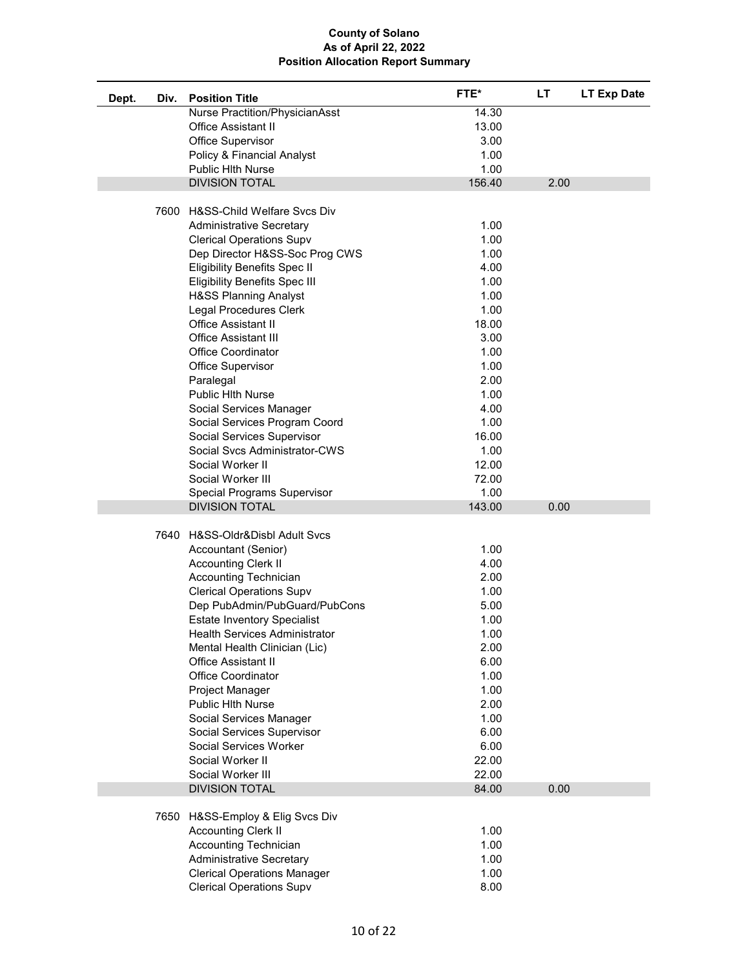| Dept. | Div. | <b>Position Title</b>                                              | FTE*   | LT   | <b>LT Exp Date</b> |
|-------|------|--------------------------------------------------------------------|--------|------|--------------------|
|       |      | Nurse Practition/PhysicianAsst                                     | 14.30  |      |                    |
|       |      | Office Assistant II                                                | 13.00  |      |                    |
|       |      | Office Supervisor                                                  | 3.00   |      |                    |
|       |      | Policy & Financial Analyst                                         | 1.00   |      |                    |
|       |      | <b>Public Hith Nurse</b>                                           | 1.00   |      |                    |
|       |      | <b>DIVISION TOTAL</b>                                              | 156.40 | 2.00 |                    |
|       |      |                                                                    |        |      |                    |
|       |      | 7600 H&SS-Child Welfare Svcs Div                                   | 1.00   |      |                    |
|       |      | <b>Administrative Secretary</b><br><b>Clerical Operations Supv</b> | 1.00   |      |                    |
|       |      | Dep Director H&SS-Soc Prog CWS                                     | 1.00   |      |                    |
|       |      | <b>Eligibility Benefits Spec II</b>                                | 4.00   |      |                    |
|       |      | <b>Eligibility Benefits Spec III</b>                               | 1.00   |      |                    |
|       |      | <b>H&amp;SS Planning Analyst</b>                                   | 1.00   |      |                    |
|       |      | <b>Legal Procedures Clerk</b>                                      | 1.00   |      |                    |
|       |      | <b>Office Assistant II</b>                                         | 18.00  |      |                    |
|       |      | <b>Office Assistant III</b>                                        | 3.00   |      |                    |
|       |      | <b>Office Coordinator</b>                                          | 1.00   |      |                    |
|       |      | Office Supervisor                                                  | 1.00   |      |                    |
|       |      | Paralegal                                                          | 2.00   |      |                    |
|       |      | <b>Public Hith Nurse</b>                                           | 1.00   |      |                    |
|       |      | Social Services Manager                                            | 4.00   |      |                    |
|       |      | Social Services Program Coord                                      | 1.00   |      |                    |
|       |      | Social Services Supervisor                                         | 16.00  |      |                    |
|       |      | Social Svcs Administrator-CWS                                      | 1.00   |      |                    |
|       |      | Social Worker II                                                   | 12.00  |      |                    |
|       |      | Social Worker III                                                  | 72.00  |      |                    |
|       |      | Special Programs Supervisor                                        | 1.00   |      |                    |
|       |      | <b>DIVISION TOTAL</b>                                              | 143.00 | 0.00 |                    |
|       |      | 7640 H&SS-Oldr&Disbl Adult Svcs                                    |        |      |                    |
|       |      | Accountant (Senior)                                                | 1.00   |      |                    |
|       |      | <b>Accounting Clerk II</b>                                         | 4.00   |      |                    |
|       |      | Accounting Technician                                              | 2.00   |      |                    |
|       |      | <b>Clerical Operations Supv</b>                                    | 1.00   |      |                    |
|       |      | Dep PubAdmin/PubGuard/PubCons                                      | 5.00   |      |                    |
|       |      | <b>Estate Inventory Specialist</b>                                 | 1.00   |      |                    |
|       |      | <b>Health Services Administrator</b>                               | 1.00   |      |                    |
|       |      | Mental Health Clinician (Lic)                                      | 2.00   |      |                    |
|       |      | <b>Office Assistant II</b>                                         | 6.00   |      |                    |
|       |      | <b>Office Coordinator</b>                                          | 1.00   |      |                    |
|       |      | Project Manager                                                    | 1.00   |      |                    |
|       |      | <b>Public Hith Nurse</b>                                           | 2.00   |      |                    |
|       |      | Social Services Manager                                            | 1.00   |      |                    |
|       |      | Social Services Supervisor                                         | 6.00   |      |                    |
|       |      | Social Services Worker                                             | 6.00   |      |                    |
|       |      | Social Worker II                                                   | 22.00  |      |                    |
|       |      | Social Worker III                                                  | 22.00  |      |                    |
|       |      | <b>DIVISION TOTAL</b>                                              | 84.00  | 0.00 |                    |
|       |      |                                                                    |        |      |                    |
|       |      | 7650 H&SS-Employ & Elig Svcs Div<br><b>Accounting Clerk II</b>     | 1.00   |      |                    |
|       |      | Accounting Technician                                              | 1.00   |      |                    |
|       |      | <b>Administrative Secretary</b>                                    | 1.00   |      |                    |
|       |      | <b>Clerical Operations Manager</b>                                 | 1.00   |      |                    |
|       |      | <b>Clerical Operations Supv</b>                                    | 8.00   |      |                    |
|       |      |                                                                    |        |      |                    |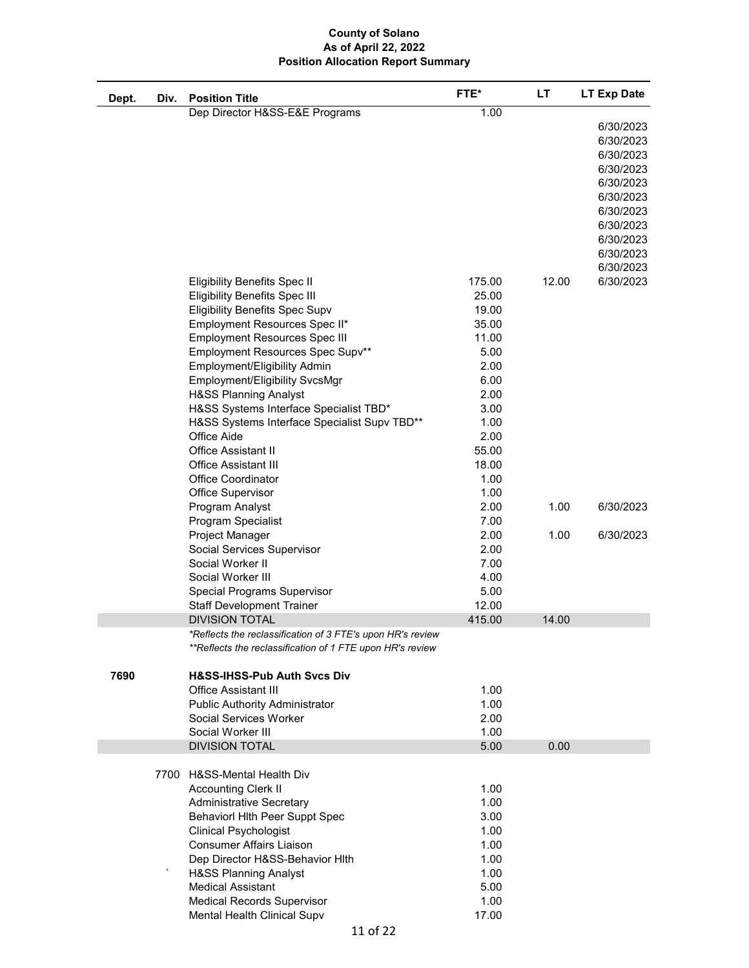| Dept. | Div. | <b>Position Title</b>                                                         | FTE*           | LT    | <b>LT Exp Date</b> |
|-------|------|-------------------------------------------------------------------------------|----------------|-------|--------------------|
|       |      | Dep Director H&SS-E&E Programs                                                | 1.00           |       |                    |
|       |      |                                                                               |                |       | 6/30/2023          |
|       |      |                                                                               |                |       | 6/30/2023          |
|       |      |                                                                               |                |       | 6/30/2023          |
|       |      |                                                                               |                |       | 6/30/2023          |
|       |      |                                                                               |                |       | 6/30/2023          |
|       |      |                                                                               |                |       | 6/30/2023          |
|       |      |                                                                               |                |       | 6/30/2023          |
|       |      |                                                                               |                |       | 6/30/2023          |
|       |      |                                                                               |                |       | 6/30/2023          |
|       |      |                                                                               |                |       | 6/30/2023          |
|       |      |                                                                               |                |       | 6/30/2023          |
|       |      | <b>Eligibility Benefits Spec II</b>                                           | 175.00         | 12.00 | 6/30/2023          |
|       |      | <b>Eligibility Benefits Spec III</b><br><b>Eligibility Benefits Spec Supv</b> | 25.00<br>19.00 |       |                    |
|       |      | Employment Resources Spec II*                                                 | 35.00          |       |                    |
|       |      | <b>Employment Resources Spec III</b>                                          | 11.00          |       |                    |
|       |      | Employment Resources Spec Supv**                                              | 5.00           |       |                    |
|       |      | Employment/Eligibility Admin                                                  | 2.00           |       |                    |
|       |      | Employment/Eligibility SvcsMgr                                                | 6.00           |       |                    |
|       |      | <b>H&amp;SS Planning Analyst</b>                                              | 2.00           |       |                    |
|       |      | H&SS Systems Interface Specialist TBD*                                        | 3.00           |       |                    |
|       |      | H&SS Systems Interface Specialist Supv TBD**                                  | 1.00           |       |                    |
|       |      | Office Aide                                                                   | 2.00           |       |                    |
|       |      | <b>Office Assistant II</b>                                                    | 55.00          |       |                    |
|       |      | <b>Office Assistant III</b>                                                   | 18.00          |       |                    |
|       |      | <b>Office Coordinator</b>                                                     | 1.00           |       |                    |
|       |      | Office Supervisor                                                             | 1.00           |       |                    |
|       |      | Program Analyst<br>Program Specialist                                         | 2.00<br>7.00   | 1.00  | 6/30/2023          |
|       |      | Project Manager                                                               | 2.00           | 1.00  | 6/30/2023          |
|       |      | Social Services Supervisor                                                    | 2.00           |       |                    |
|       |      | Social Worker II                                                              | 7.00           |       |                    |
|       |      | Social Worker III                                                             | 4.00           |       |                    |
|       |      | <b>Special Programs Supervisor</b>                                            | 5.00           |       |                    |
|       |      | <b>Staff Development Trainer</b>                                              | 12.00          |       |                    |
|       |      | <b>DIVISION TOTAL</b>                                                         | 415.00         | 14.00 |                    |
|       |      | *Reflects the reclassification of 3 FTE's upon HR's review                    |                |       |                    |
|       |      | **Reflects the reclassification of 1 FTE upon HR's review                     |                |       |                    |
|       |      |                                                                               |                |       |                    |
| 7690  |      | <b>H&amp;SS-IHSS-Pub Auth Svcs Div</b><br><b>Office Assistant III</b>         | 1.00           |       |                    |
|       |      | <b>Public Authority Administrator</b>                                         | 1.00           |       |                    |
|       |      | Social Services Worker                                                        | 2.00           |       |                    |
|       |      | Social Worker III                                                             | 1.00           |       |                    |
|       |      | <b>DIVISION TOTAL</b>                                                         | 5.00           | 0.00  |                    |
|       |      |                                                                               |                |       |                    |
|       |      | 7700 H&SS-Mental Health Div                                                   |                |       |                    |
|       |      | <b>Accounting Clerk II</b>                                                    | 1.00           |       |                    |
|       |      | <b>Administrative Secretary</b>                                               | 1.00           |       |                    |
|       |      | Behaviorl Hlth Peer Suppt Spec                                                | 3.00           |       |                    |
|       |      | <b>Clinical Psychologist</b><br><b>Consumer Affairs Liaison</b>               | 1.00<br>1.00   |       |                    |
|       |      | Dep Director H&SS-Behavior HIth                                               | 1.00           |       |                    |
|       |      | <b>H&amp;SS Planning Analyst</b>                                              | 1.00           |       |                    |
|       |      | <b>Medical Assistant</b>                                                      | 5.00           |       |                    |
|       |      | <b>Medical Records Supervisor</b>                                             | 1.00           |       |                    |
|       |      | Mental Health Clinical Supv                                                   | 17.00          |       |                    |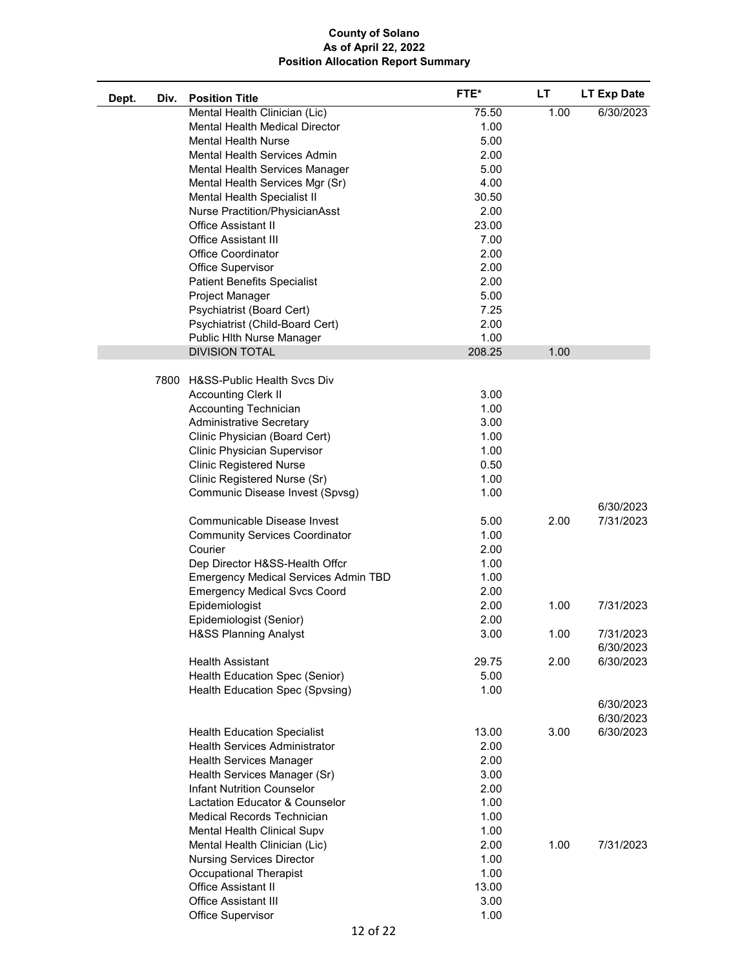| Dept. | Div. | <b>Position Title</b>                       | FTE*   | LT   | <b>LT Exp Date</b>     |
|-------|------|---------------------------------------------|--------|------|------------------------|
|       |      | Mental Health Clinician (Lic)               | 75.50  | 1.00 | 6/30/2023              |
|       |      | Mental Health Medical Director              | 1.00   |      |                        |
|       |      | <b>Mental Health Nurse</b>                  | 5.00   |      |                        |
|       |      | Mental Health Services Admin                | 2.00   |      |                        |
|       |      | Mental Health Services Manager              | 5.00   |      |                        |
|       |      | Mental Health Services Mgr (Sr)             | 4.00   |      |                        |
|       |      | Mental Health Specialist II                 | 30.50  |      |                        |
|       |      | Nurse Practition/PhysicianAsst              | 2.00   |      |                        |
|       |      | Office Assistant II                         | 23.00  |      |                        |
|       |      | <b>Office Assistant III</b>                 | 7.00   |      |                        |
|       |      | <b>Office Coordinator</b>                   | 2.00   |      |                        |
|       |      | Office Supervisor                           | 2.00   |      |                        |
|       |      | <b>Patient Benefits Specialist</b>          | 2.00   |      |                        |
|       |      | Project Manager                             | 5.00   |      |                        |
|       |      | Psychiatrist (Board Cert)                   | 7.25   |      |                        |
|       |      | Psychiatrist (Child-Board Cert)             | 2.00   |      |                        |
|       |      | Public Hlth Nurse Manager                   | 1.00   |      |                        |
|       |      | <b>DIVISION TOTAL</b>                       | 208.25 | 1.00 |                        |
|       |      | 7800 H&SS-Public Health Svcs Div            |        |      |                        |
|       |      | <b>Accounting Clerk II</b>                  | 3.00   |      |                        |
|       |      | <b>Accounting Technician</b>                | 1.00   |      |                        |
|       |      | <b>Administrative Secretary</b>             | 3.00   |      |                        |
|       |      | Clinic Physician (Board Cert)               | 1.00   |      |                        |
|       |      | Clinic Physician Supervisor                 | 1.00   |      |                        |
|       |      | <b>Clinic Registered Nurse</b>              | 0.50   |      |                        |
|       |      | Clinic Registered Nurse (Sr)                | 1.00   |      |                        |
|       |      | Communic Disease Invest (Spvsg)             | 1.00   |      |                        |
|       |      | Communicable Disease Invest                 | 5.00   | 2.00 | 6/30/2023<br>7/31/2023 |
|       |      | <b>Community Services Coordinator</b>       | 1.00   |      |                        |
|       |      | Courier                                     | 2.00   |      |                        |
|       |      | Dep Director H&SS-Health Offcr              | 1.00   |      |                        |
|       |      | <b>Emergency Medical Services Admin TBD</b> | 1.00   |      |                        |
|       |      | <b>Emergency Medical Svcs Coord</b>         | 2.00   |      |                        |
|       |      | Epidemiologist                              | 2.00   | 1.00 | 7/31/2023              |
|       |      | Epidemiologist (Senior)                     | 2.00   |      |                        |
|       |      | <b>H&amp;SS Planning Analyst</b>            | 3.00   | 1.00 | 7/31/2023              |
|       |      |                                             |        |      | 6/30/2023              |
|       |      | <b>Health Assistant</b>                     | 29.75  | 2.00 | 6/30/2023              |
|       |      | Health Education Spec (Senior)              | 5.00   |      |                        |
|       |      | Health Education Spec (Spvsing)             | 1.00   |      |                        |
|       |      |                                             |        |      | 6/30/2023              |
|       |      |                                             |        |      | 6/30/2023              |
|       |      | <b>Health Education Specialist</b>          | 13.00  | 3.00 | 6/30/2023              |
|       |      | <b>Health Services Administrator</b>        | 2.00   |      |                        |
|       |      | <b>Health Services Manager</b>              | 2.00   |      |                        |
|       |      | Health Services Manager (Sr)                | 3.00   |      |                        |
|       |      | <b>Infant Nutrition Counselor</b>           | 2.00   |      |                        |
|       |      | Lactation Educator & Counselor              | 1.00   |      |                        |
|       |      | Medical Records Technician                  | 1.00   |      |                        |
|       |      | Mental Health Clinical Supv                 | 1.00   |      |                        |
|       |      | Mental Health Clinician (Lic)               | 2.00   | 1.00 | 7/31/2023              |
|       |      | <b>Nursing Services Director</b>            | 1.00   |      |                        |
|       |      | <b>Occupational Therapist</b>               | 1.00   |      |                        |
|       |      | Office Assistant II                         | 13.00  |      |                        |
|       |      | <b>Office Assistant III</b>                 | 3.00   |      |                        |
|       |      | Office Supervisor                           | 1.00   |      |                        |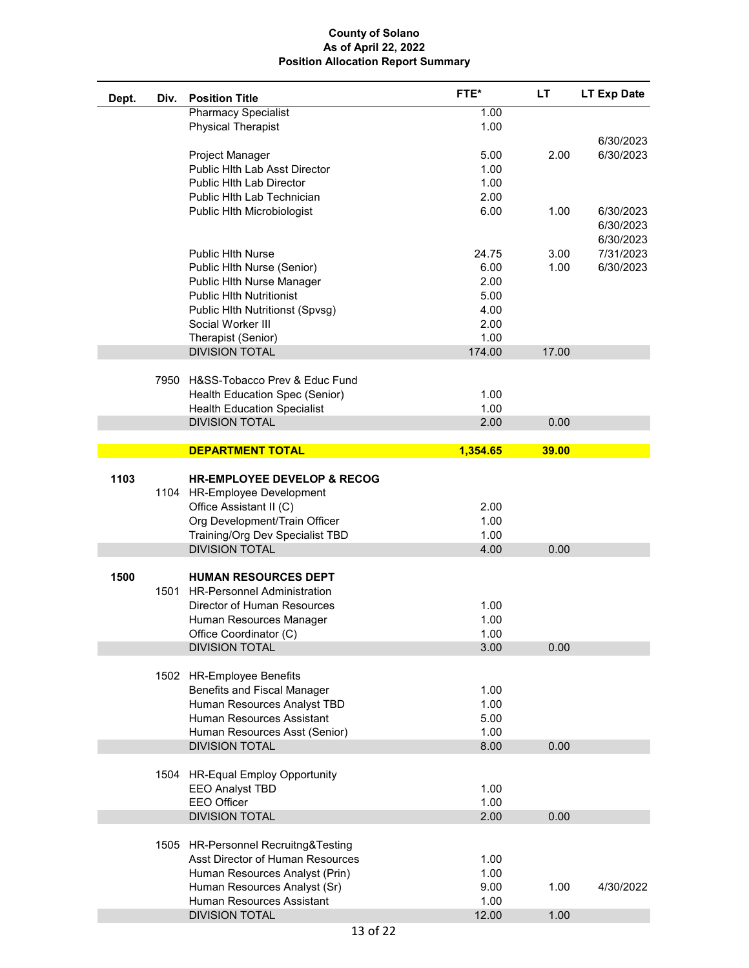| Dept. | Div. | <b>Position Title</b>                                                                                                                                        | FTE*                 | LТ    | <b>LT Exp Date</b> |
|-------|------|--------------------------------------------------------------------------------------------------------------------------------------------------------------|----------------------|-------|--------------------|
|       |      | <b>Pharmacy Specialist</b>                                                                                                                                   | 1.00                 |       |                    |
|       |      | <b>Physical Therapist</b>                                                                                                                                    | 1.00                 |       |                    |
|       |      |                                                                                                                                                              |                      |       | 6/30/2023          |
|       |      | Project Manager<br><b>Public Hith Lab Asst Director</b>                                                                                                      | 5.00<br>1.00         | 2.00  | 6/30/2023          |
|       |      | Public Hlth Lab Director                                                                                                                                     | 1.00                 |       |                    |
|       |      | Public Hith Lab Technician                                                                                                                                   | 2.00                 |       |                    |
|       |      | Public Hith Microbiologist                                                                                                                                   | 6.00                 | 1.00  | 6/30/2023          |
|       |      |                                                                                                                                                              |                      |       | 6/30/2023          |
|       |      |                                                                                                                                                              |                      |       | 6/30/2023          |
|       |      | <b>Public Hith Nurse</b>                                                                                                                                     | 24.75                | 3.00  | 7/31/2023          |
|       |      | Public Hlth Nurse (Senior)                                                                                                                                   | 6.00                 | 1.00  | 6/30/2023          |
|       |      | Public Hith Nurse Manager                                                                                                                                    | 2.00                 |       |                    |
|       |      | <b>Public HIth Nutritionist</b>                                                                                                                              | 5.00                 |       |                    |
|       |      | Public Hlth Nutritionst (Spvsg)                                                                                                                              | 4.00                 |       |                    |
|       |      | Social Worker III                                                                                                                                            | 2.00                 |       |                    |
|       |      | Therapist (Senior)<br><b>DIVISION TOTAL</b>                                                                                                                  | 1.00<br>174.00       | 17.00 |                    |
|       |      |                                                                                                                                                              |                      |       |                    |
|       |      | 7950 H&SS-Tobacco Prev & Educ Fund                                                                                                                           |                      |       |                    |
|       |      | Health Education Spec (Senior)                                                                                                                               | 1.00                 |       |                    |
|       |      | <b>Health Education Specialist</b>                                                                                                                           | 1.00                 |       |                    |
|       |      | <b>DIVISION TOTAL</b>                                                                                                                                        | 2.00                 | 0.00  |                    |
|       |      |                                                                                                                                                              |                      |       |                    |
|       |      | <b>DEPARTMENT TOTAL</b>                                                                                                                                      | 1,354.65             | 39.00 |                    |
| 1103  |      | <b>HR-EMPLOYEE DEVELOP &amp; RECOG</b><br>1104 HR-Employee Development<br>Office Assistant II (C)                                                            | 2.00                 |       |                    |
|       |      | Org Development/Train Officer                                                                                                                                | 1.00                 |       |                    |
|       |      | Training/Org Dev Specialist TBD                                                                                                                              | 1.00                 |       |                    |
|       |      | <b>DIVISION TOTAL</b>                                                                                                                                        | 4.00                 | 0.00  |                    |
| 1500  | 1501 | <b>HUMAN RESOURCES DEPT</b><br><b>HR-Personnel Administration</b><br><b>Director of Human Resources</b><br>Human Resources Manager<br>Office Coordinator (C) | 1.00<br>1.00<br>1.00 |       |                    |
|       |      | <b>DIVISION TOTAL</b>                                                                                                                                        | 3.00                 | 0.00  |                    |
|       |      | 1502 HR-Employee Benefits<br>Benefits and Fiscal Manager                                                                                                     | 1.00                 |       |                    |
|       |      | Human Resources Analyst TBD                                                                                                                                  | 1.00                 |       |                    |
|       |      | Human Resources Assistant                                                                                                                                    | 5.00                 |       |                    |
|       |      | Human Resources Asst (Senior)                                                                                                                                | 1.00                 |       |                    |
|       |      | <b>DIVISION TOTAL</b>                                                                                                                                        | 8.00                 | 0.00  |                    |
|       |      | 1504 HR-Equal Employ Opportunity<br><b>EEO Analyst TBD</b>                                                                                                   | 1.00                 |       |                    |
|       |      | <b>EEO Officer</b>                                                                                                                                           | 1.00                 |       |                    |
|       |      | <b>DIVISION TOTAL</b>                                                                                                                                        | 2.00                 | 0.00  |                    |
|       |      | 1505 HR-Personnel Recruitng&Testing<br>Asst Director of Human Resources<br>Human Resources Analyst (Prin)                                                    | 1.00<br>1.00         |       |                    |
|       |      | Human Resources Analyst (Sr)                                                                                                                                 | 9.00                 | 1.00  | 4/30/2022          |
|       |      | Human Resources Assistant                                                                                                                                    | 1.00                 |       |                    |
|       |      | <b>DIVISION TOTAL</b>                                                                                                                                        | 12.00                | 1.00  |                    |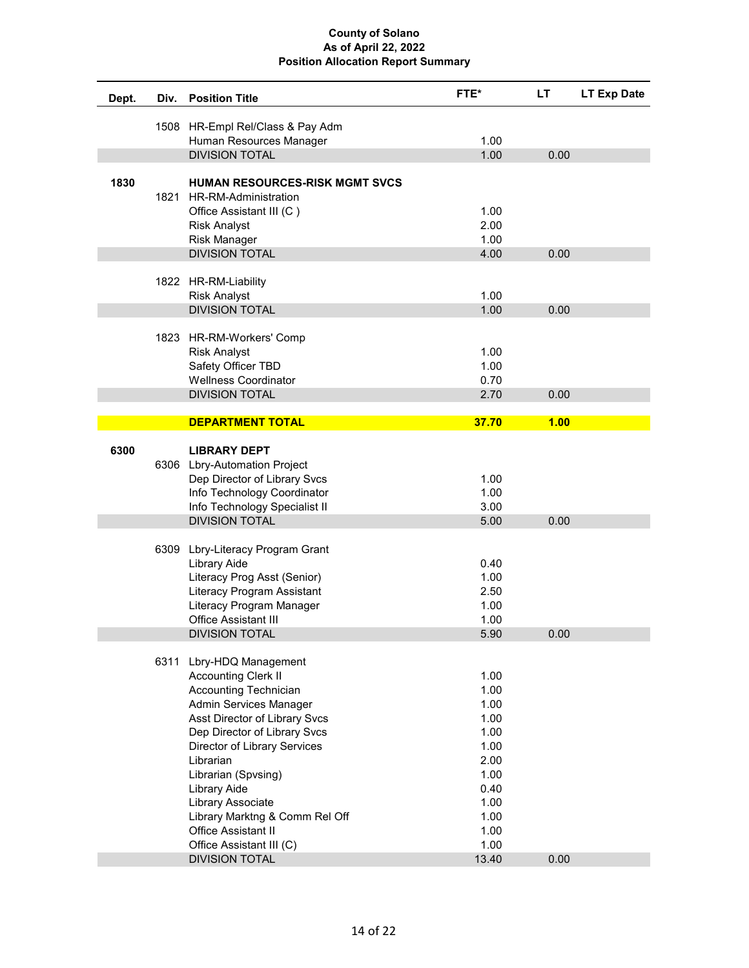| Dept. | Div. | <b>Position Title</b>                                      | FTE*         | LT   | LT Exp Date |
|-------|------|------------------------------------------------------------|--------------|------|-------------|
|       |      | 1508 HR-Empl Rel/Class & Pay Adm                           |              |      |             |
|       |      | Human Resources Manager                                    | 1.00         |      |             |
|       |      | <b>DIVISION TOTAL</b>                                      | 1.00         | 0.00 |             |
|       |      |                                                            |              |      |             |
| 1830  |      | HUMAN RESOURCES-RISK MGMT SVCS                             |              |      |             |
|       | 1821 | HR-RM-Administration                                       |              |      |             |
|       |      | Office Assistant III (C)                                   | 1.00<br>2.00 |      |             |
|       |      | <b>Risk Analyst</b><br>Risk Manager                        | 1.00         |      |             |
|       |      | <b>DIVISION TOTAL</b>                                      | 4.00         | 0.00 |             |
|       |      |                                                            |              |      |             |
|       |      | 1822 HR-RM-Liability                                       |              |      |             |
|       |      | <b>Risk Analyst</b>                                        | 1.00         |      |             |
|       |      | <b>DIVISION TOTAL</b>                                      | 1.00         | 0.00 |             |
|       |      |                                                            |              |      |             |
|       |      | 1823 HR-RM-Workers' Comp                                   |              |      |             |
|       |      | <b>Risk Analyst</b>                                        | 1.00         |      |             |
|       |      | Safety Officer TBD                                         | 1.00         |      |             |
|       |      | <b>Wellness Coordinator</b><br><b>DIVISION TOTAL</b>       | 0.70<br>2.70 | 0.00 |             |
|       |      |                                                            |              |      |             |
|       |      | <b>DEPARTMENT TOTAL</b>                                    | 37.70        | 1.00 |             |
|       |      |                                                            |              |      |             |
| 6300  |      | <b>LIBRARY DEPT</b>                                        |              |      |             |
|       |      | 6306 Lbry-Automation Project                               |              |      |             |
|       |      | Dep Director of Library Svcs                               | 1.00         |      |             |
|       |      | Info Technology Coordinator                                | 1.00         |      |             |
|       |      | Info Technology Specialist II                              | 3.00         |      |             |
|       |      | <b>DIVISION TOTAL</b>                                      | 5.00         | 0.00 |             |
|       |      | 6309 Lbry-Literacy Program Grant                           |              |      |             |
|       |      | Library Aide                                               | 0.40         |      |             |
|       |      | Literacy Prog Asst (Senior)                                | 1.00         |      |             |
|       |      | Literacy Program Assistant                                 | 2.50         |      |             |
|       |      | Literacy Program Manager                                   | 1.00         |      |             |
|       |      | <b>Office Assistant III</b>                                | 1.00         |      |             |
|       |      | <b>DIVISION TOTAL</b>                                      | 5.90         | 0.00 |             |
|       |      |                                                            |              |      |             |
|       | 6311 | Lbry-HDQ Management                                        |              |      |             |
|       |      | <b>Accounting Clerk II</b><br><b>Accounting Technician</b> | 1.00<br>1.00 |      |             |
|       |      | Admin Services Manager                                     | 1.00         |      |             |
|       |      | Asst Director of Library Svcs                              | 1.00         |      |             |
|       |      | Dep Director of Library Svcs                               | 1.00         |      |             |
|       |      | Director of Library Services                               | 1.00         |      |             |
|       |      | Librarian                                                  | 2.00         |      |             |
|       |      | Librarian (Spvsing)                                        | 1.00         |      |             |
|       |      | Library Aide                                               | 0.40         |      |             |
|       |      | Library Associate                                          | 1.00         |      |             |
|       |      | Library Marktng & Comm Rel Off                             | 1.00         |      |             |
|       |      | Office Assistant II                                        | 1.00         |      |             |
|       |      | Office Assistant III (C)                                   | 1.00         |      |             |
|       |      | <b>DIVISION TOTAL</b>                                      | 13.40        | 0.00 |             |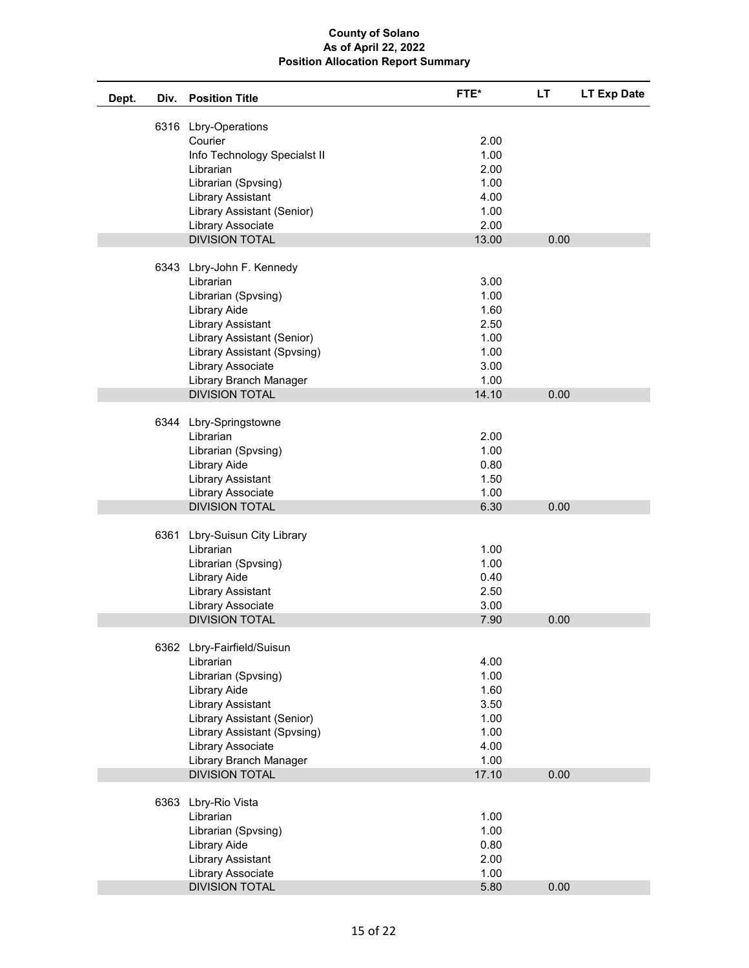| Dept. | Div. | <b>Position Title</b>                    | FTE*         | LT.  | LT Exp Date |
|-------|------|------------------------------------------|--------------|------|-------------|
|       |      | 6316 Lbry-Operations                     |              |      |             |
|       |      | Courier                                  | 2.00         |      |             |
|       |      | Info Technology Specialst II             | 1.00         |      |             |
|       |      | Librarian                                | 2.00         |      |             |
|       |      | Librarian (Spvsing)                      | 1.00         |      |             |
|       |      | <b>Library Assistant</b>                 | 4.00         |      |             |
|       |      | Library Assistant (Senior)               | 1.00         |      |             |
|       |      | Library Associate                        | 2.00         |      |             |
|       |      | <b>DIVISION TOTAL</b>                    | 13.00        | 0.00 |             |
|       |      |                                          |              |      |             |
|       |      | 6343 Lbry-John F. Kennedy                |              |      |             |
|       |      | Librarian                                | 3.00         |      |             |
|       |      | Librarian (Spvsing)                      | 1.00         |      |             |
|       |      | Library Aide<br><b>Library Assistant</b> | 1.60<br>2.50 |      |             |
|       |      | Library Assistant (Senior)               | 1.00         |      |             |
|       |      | Library Assistant (Spvsing)              | 1.00         |      |             |
|       |      | Library Associate                        | 3.00         |      |             |
|       |      | Library Branch Manager                   | 1.00         |      |             |
|       |      | <b>DIVISION TOTAL</b>                    | 14.10        | 0.00 |             |
|       |      |                                          |              |      |             |
|       |      | 6344 Lbry-Springstowne                   |              |      |             |
|       |      | Librarian                                | 2.00         |      |             |
|       |      | Librarian (Spvsing)                      | 1.00         |      |             |
|       |      | Library Aide                             | 0.80         |      |             |
|       |      | <b>Library Assistant</b>                 | 1.50         |      |             |
|       |      | Library Associate                        | 1.00         |      |             |
|       |      | <b>DIVISION TOTAL</b>                    | 6.30         | 0.00 |             |
|       |      |                                          |              |      |             |
|       |      | 6361 Lbry-Suisun City Library            |              |      |             |
|       |      | Librarian                                | 1.00         |      |             |
|       |      | Librarian (Spvsing)                      | 1.00         |      |             |
|       |      | Library Aide                             | 0.40         |      |             |
|       |      | <b>Library Assistant</b>                 | 2.50         |      |             |
|       |      | Library Associate                        | 3.00         |      |             |
|       |      | <b>DIVISION TOTAL</b>                    | 7.90         | 0.00 |             |
|       |      | 6362 Lbry-Fairfield/Suisun               |              |      |             |
|       |      | Librarian                                | 4.00         |      |             |
|       |      | Librarian (Spvsing)                      | 1.00         |      |             |
|       |      | Library Aide                             | 1.60         |      |             |
|       |      | <b>Library Assistant</b>                 | 3.50         |      |             |
|       |      | Library Assistant (Senior)               | 1.00         |      |             |
|       |      | Library Assistant (Spvsing)              | 1.00         |      |             |
|       |      | Library Associate                        | 4.00         |      |             |
|       |      | Library Branch Manager                   | 1.00         |      |             |
|       |      | <b>DIVISION TOTAL</b>                    | 17.10        | 0.00 |             |
|       |      |                                          |              |      |             |
|       |      | 6363 Lbry-Rio Vista                      |              |      |             |
|       |      | Librarian                                | 1.00         |      |             |
|       |      | Librarian (Spvsing)                      | 1.00         |      |             |
|       |      | Library Aide                             | 0.80         |      |             |
|       |      | <b>Library Assistant</b>                 | 2.00         |      |             |
|       |      | Library Associate                        | 1.00         |      |             |
|       |      | <b>DIVISION TOTAL</b>                    | 5.80         | 0.00 |             |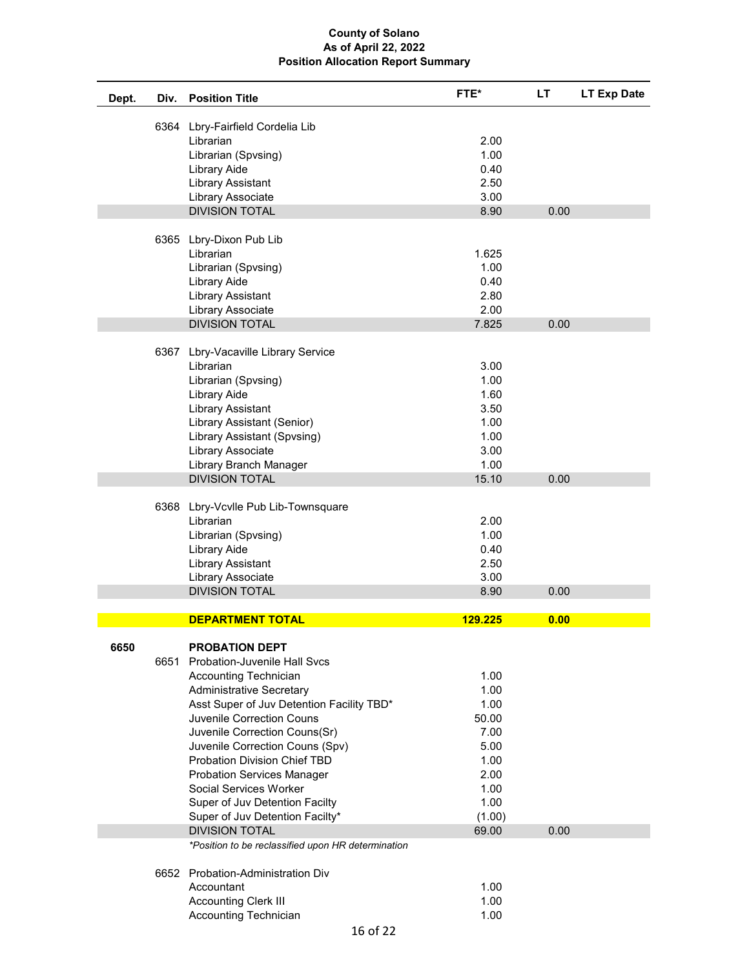| Dept. | Div. | <b>Position Title</b>                                             | FTE*          | <b>LT</b> | LT Exp Date |
|-------|------|-------------------------------------------------------------------|---------------|-----------|-------------|
|       |      |                                                                   |               |           |             |
|       |      | 6364 Lbry-Fairfield Cordelia Lib<br>Librarian                     | 2.00          |           |             |
|       |      | Librarian (Spvsing)                                               | 1.00          |           |             |
|       |      | Library Aide                                                      | 0.40          |           |             |
|       |      | <b>Library Assistant</b>                                          | 2.50          |           |             |
|       |      | Library Associate                                                 | 3.00          |           |             |
|       |      | <b>DIVISION TOTAL</b>                                             | 8.90          | 0.00      |             |
|       |      |                                                                   |               |           |             |
|       |      | 6365 Lbry-Dixon Pub Lib                                           |               |           |             |
|       |      | Librarian                                                         | 1.625         |           |             |
|       |      | Librarian (Spvsing)                                               | 1.00          |           |             |
|       |      | Library Aide                                                      | 0.40          |           |             |
|       |      | <b>Library Assistant</b>                                          | 2.80          |           |             |
|       |      | Library Associate                                                 | 2.00          |           |             |
|       |      | <b>DIVISION TOTAL</b>                                             | 7.825         | 0.00      |             |
|       |      | 6367 Lbry-Vacaville Library Service                               |               |           |             |
|       |      | Librarian                                                         | 3.00          |           |             |
|       |      | Librarian (Spvsing)                                               | 1.00          |           |             |
|       |      | Library Aide                                                      | 1.60          |           |             |
|       |      | <b>Library Assistant</b>                                          | 3.50          |           |             |
|       |      | Library Assistant (Senior)                                        | 1.00          |           |             |
|       |      | Library Assistant (Spvsing)                                       | 1.00          |           |             |
|       |      | Library Associate                                                 | 3.00          |           |             |
|       |      | Library Branch Manager                                            | 1.00          |           |             |
|       |      | <b>DIVISION TOTAL</b>                                             | 15.10         | 0.00      |             |
|       |      |                                                                   |               |           |             |
|       |      | 6368 Lbry-Vcvlle Pub Lib-Townsquare                               |               |           |             |
|       |      | Librarian                                                         | 2.00          |           |             |
|       |      | Librarian (Spvsing)                                               | 1.00          |           |             |
|       |      | Library Aide                                                      | 0.40          |           |             |
|       |      | <b>Library Assistant</b>                                          | 2.50          |           |             |
|       |      | Library Associate<br><b>DIVISION TOTAL</b>                        | 3.00          |           |             |
|       |      |                                                                   | 8.90          | 0.00      |             |
|       |      | <b>DEPARTMENT TOTAL</b>                                           | 129.225       | 0.00      |             |
|       |      |                                                                   |               |           |             |
| 6650  |      | <b>PROBATION DEPT</b>                                             |               |           |             |
|       |      | 6651 Probation-Juvenile Hall Svcs                                 |               |           |             |
|       |      | Accounting Technician                                             | 1.00          |           |             |
|       |      | <b>Administrative Secretary</b>                                   | 1.00          |           |             |
|       |      | Asst Super of Juv Detention Facility TBD*                         | 1.00          |           |             |
|       |      | <b>Juvenile Correction Couns</b><br>Juvenile Correction Couns(Sr) | 50.00<br>7.00 |           |             |
|       |      | Juvenile Correction Couns (Spv)                                   | 5.00          |           |             |
|       |      | <b>Probation Division Chief TBD</b>                               | 1.00          |           |             |
|       |      | <b>Probation Services Manager</b>                                 | 2.00          |           |             |
|       |      | Social Services Worker                                            | 1.00          |           |             |
|       |      | Super of Juv Detention Facilty                                    | 1.00          |           |             |
|       |      | Super of Juv Detention Facilty*                                   | (1.00)        |           |             |
|       |      | <b>DIVISION TOTAL</b>                                             | 69.00         | 0.00      |             |
|       |      | *Position to be reclassified upon HR determination                |               |           |             |
|       |      |                                                                   |               |           |             |
|       |      | 6652 Probation-Administration Div                                 |               |           |             |
|       |      | Accountant                                                        | 1.00          |           |             |
|       |      | <b>Accounting Clerk III</b>                                       | 1.00          |           |             |
|       |      | Accounting Technician                                             | 1.00          |           |             |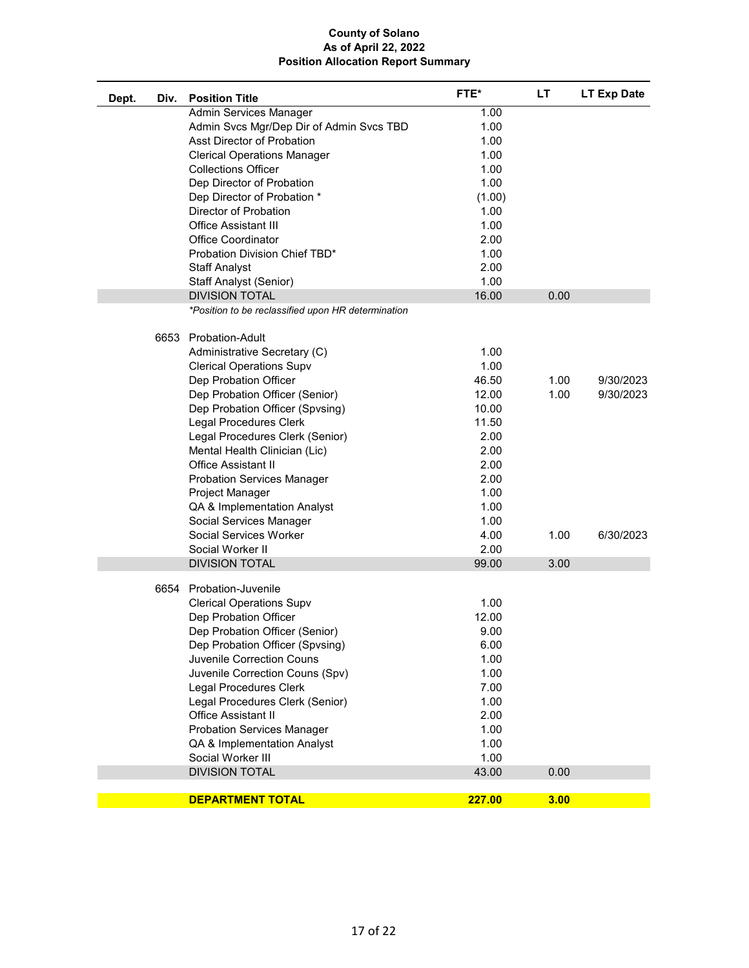| Div.<br>Dept. | <b>Position Title</b>                              | FTE*   | LT.  | <b>LT Exp Date</b> |
|---------------|----------------------------------------------------|--------|------|--------------------|
|               | Admin Services Manager                             | 1.00   |      |                    |
|               | Admin Svcs Mgr/Dep Dir of Admin Svcs TBD           | 1.00   |      |                    |
|               | Asst Director of Probation                         | 1.00   |      |                    |
|               | <b>Clerical Operations Manager</b>                 | 1.00   |      |                    |
|               | <b>Collections Officer</b>                         | 1.00   |      |                    |
|               | Dep Director of Probation                          | 1.00   |      |                    |
|               | Dep Director of Probation *                        | (1.00) |      |                    |
|               | Director of Probation                              | 1.00   |      |                    |
|               | <b>Office Assistant III</b>                        | 1.00   |      |                    |
|               | <b>Office Coordinator</b>                          | 2.00   |      |                    |
|               | Probation Division Chief TBD*                      | 1.00   |      |                    |
|               | <b>Staff Analyst</b>                               | 2.00   |      |                    |
|               | Staff Analyst (Senior)                             | 1.00   |      |                    |
|               | <b>DIVISION TOTAL</b>                              | 16.00  | 0.00 |                    |
|               | *Position to be reclassified upon HR determination |        |      |                    |
|               |                                                    |        |      |                    |
|               | 6653 Probation-Adult                               |        |      |                    |
|               | Administrative Secretary (C)                       | 1.00   |      |                    |
|               | <b>Clerical Operations Supv</b>                    | 1.00   |      |                    |
|               | Dep Probation Officer                              | 46.50  | 1.00 | 9/30/2023          |
|               | Dep Probation Officer (Senior)                     | 12.00  | 1.00 | 9/30/2023          |
|               |                                                    | 10.00  |      |                    |
|               | Dep Probation Officer (Spvsing)                    |        |      |                    |
|               | Legal Procedures Clerk                             | 11.50  |      |                    |
|               | Legal Procedures Clerk (Senior)                    | 2.00   |      |                    |
|               | Mental Health Clinician (Lic)                      | 2.00   |      |                    |
|               | <b>Office Assistant II</b>                         | 2.00   |      |                    |
|               | <b>Probation Services Manager</b>                  | 2.00   |      |                    |
|               | Project Manager                                    | 1.00   |      |                    |
|               | QA & Implementation Analyst                        | 1.00   |      |                    |
|               | Social Services Manager                            | 1.00   |      |                    |
|               | Social Services Worker                             | 4.00   | 1.00 | 6/30/2023          |
|               | Social Worker II                                   | 2.00   |      |                    |
|               | <b>DIVISION TOTAL</b>                              | 99.00  | 3.00 |                    |
|               | 6654 Probation-Juvenile                            |        |      |                    |
|               |                                                    |        |      |                    |
|               | <b>Clerical Operations Supv</b>                    | 1.00   |      |                    |
|               | Dep Probation Officer                              | 12.00  |      |                    |
|               | Dep Probation Officer (Senior)                     | 9.00   |      |                    |
|               | Dep Probation Officer (Spvsing)                    | 6.00   |      |                    |
|               | Juvenile Correction Couns                          | 1.00   |      |                    |
|               | Juvenile Correction Couns (Spv)                    | 1.00   |      |                    |
|               | Legal Procedures Clerk                             | 7.00   |      |                    |
|               | Legal Procedures Clerk (Senior)                    | 1.00   |      |                    |
|               | <b>Office Assistant II</b>                         | 2.00   |      |                    |
|               | <b>Probation Services Manager</b>                  | 1.00   |      |                    |
|               | QA & Implementation Analyst                        | 1.00   |      |                    |
|               | Social Worker III                                  | 1.00   |      |                    |
|               | <b>DIVISION TOTAL</b>                              | 43.00  | 0.00 |                    |
|               | <b>DEPARTMENT TOTAL</b>                            | 227.00 | 3.00 |                    |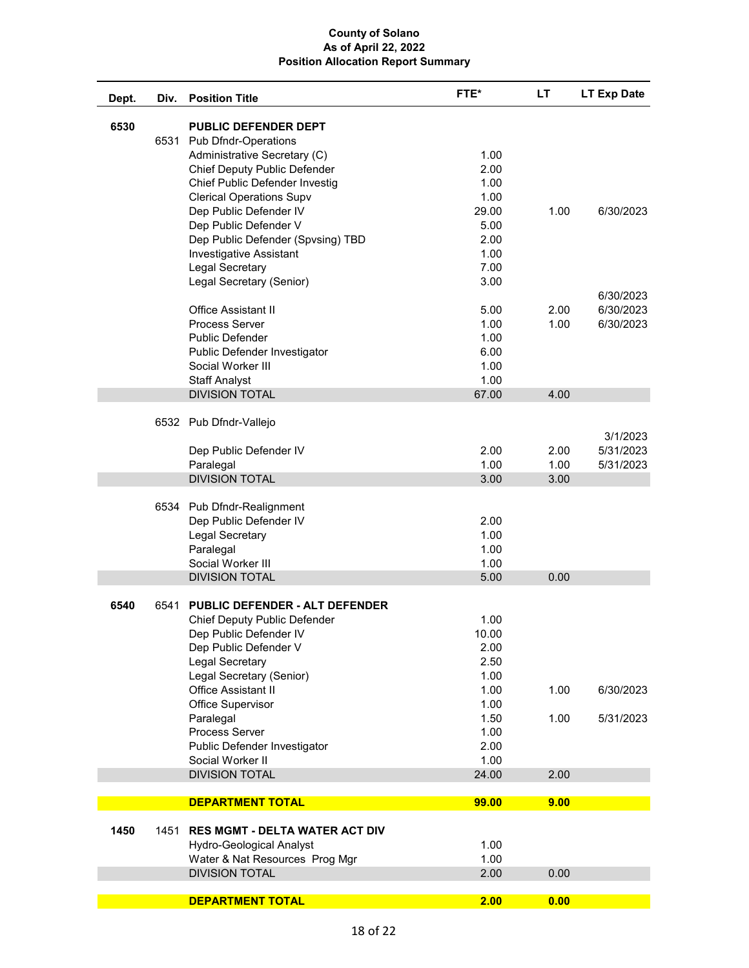| Dept. | Div. | <b>Position Title</b>                 | FTE*  | LT   | <b>LT Exp Date</b> |
|-------|------|---------------------------------------|-------|------|--------------------|
| 6530  |      | <b>PUBLIC DEFENDER DEPT</b>           |       |      |                    |
|       |      | 6531 Pub Dfndr-Operations             |       |      |                    |
|       |      | Administrative Secretary (C)          | 1.00  |      |                    |
|       |      | Chief Deputy Public Defender          | 2.00  |      |                    |
|       |      | Chief Public Defender Investig        | 1.00  |      |                    |
|       |      | <b>Clerical Operations Supv</b>       | 1.00  |      |                    |
|       |      | Dep Public Defender IV                | 29.00 | 1.00 | 6/30/2023          |
|       |      | Dep Public Defender V                 | 5.00  |      |                    |
|       |      | Dep Public Defender (Spvsing) TBD     | 2.00  |      |                    |
|       |      | <b>Investigative Assistant</b>        | 1.00  |      |                    |
|       |      | Legal Secretary                       | 7.00  |      |                    |
|       |      | Legal Secretary (Senior)              | 3.00  |      |                    |
|       |      |                                       |       |      | 6/30/2023          |
|       |      | <b>Office Assistant II</b>            | 5.00  | 2.00 | 6/30/2023          |
|       |      | <b>Process Server</b>                 | 1.00  | 1.00 | 6/30/2023          |
|       |      | Public Defender                       | 1.00  |      |                    |
|       |      | Public Defender Investigator          | 6.00  |      |                    |
|       |      | Social Worker III                     | 1.00  |      |                    |
|       |      | <b>Staff Analyst</b>                  | 1.00  |      |                    |
|       |      | <b>DIVISION TOTAL</b>                 | 67.00 | 4.00 |                    |
|       |      |                                       |       |      |                    |
|       |      | 6532 Pub Dfndr-Vallejo                |       |      |                    |
|       |      |                                       |       |      | 3/1/2023           |
|       |      | Dep Public Defender IV                | 2.00  | 2.00 | 5/31/2023          |
|       |      | Paralegal                             | 1.00  | 1.00 | 5/31/2023          |
|       |      | <b>DIVISION TOTAL</b>                 | 3.00  | 3.00 |                    |
|       |      |                                       |       |      |                    |
|       |      | 6534 Pub Dfndr-Realignment            |       |      |                    |
|       |      | Dep Public Defender IV                | 2.00  |      |                    |
|       |      | Legal Secretary                       | 1.00  |      |                    |
|       |      | Paralegal                             | 1.00  |      |                    |
|       |      | Social Worker III                     | 1.00  |      |                    |
|       |      | <b>DIVISION TOTAL</b>                 | 5.00  | 0.00 |                    |
|       |      |                                       |       |      |                    |
| 6540  | 6541 | <b>PUBLIC DEFENDER - ALT DEFENDER</b> |       |      |                    |
|       |      | Chief Deputy Public Defender          | 1.00  |      |                    |
|       |      | Dep Public Defender IV                | 10.00 |      |                    |
|       |      | Dep Public Defender V                 | 2.00  |      |                    |
|       |      | Legal Secretary                       | 2.50  |      |                    |
|       |      | Legal Secretary (Senior)              | 1.00  |      |                    |
|       |      | <b>Office Assistant II</b>            | 1.00  | 1.00 | 6/30/2023          |
|       |      | Office Supervisor                     | 1.00  |      |                    |
|       |      | Paralegal                             | 1.50  | 1.00 | 5/31/2023          |
|       |      | Process Server                        | 1.00  |      |                    |
|       |      | Public Defender Investigator          | 2.00  |      |                    |
|       |      | Social Worker II                      | 1.00  |      |                    |
|       |      | <b>DIVISION TOTAL</b>                 | 24.00 | 2.00 |                    |
|       |      | <b>DEPARTMENT TOTAL</b>               | 99.00 | 9.00 |                    |
|       |      |                                       |       |      |                    |
| 1450  | 1451 | <b>RES MGMT - DELTA WATER ACT DIV</b> |       |      |                    |
|       |      | <b>Hydro-Geological Analyst</b>       | 1.00  |      |                    |
|       |      | Water & Nat Resources Prog Mgr        | 1.00  |      |                    |
|       |      | <b>DIVISION TOTAL</b>                 | 2.00  | 0.00 |                    |
|       |      |                                       |       |      |                    |
|       |      | <b>DEPARTMENT TOTAL</b>               | 2.00  | 0.00 |                    |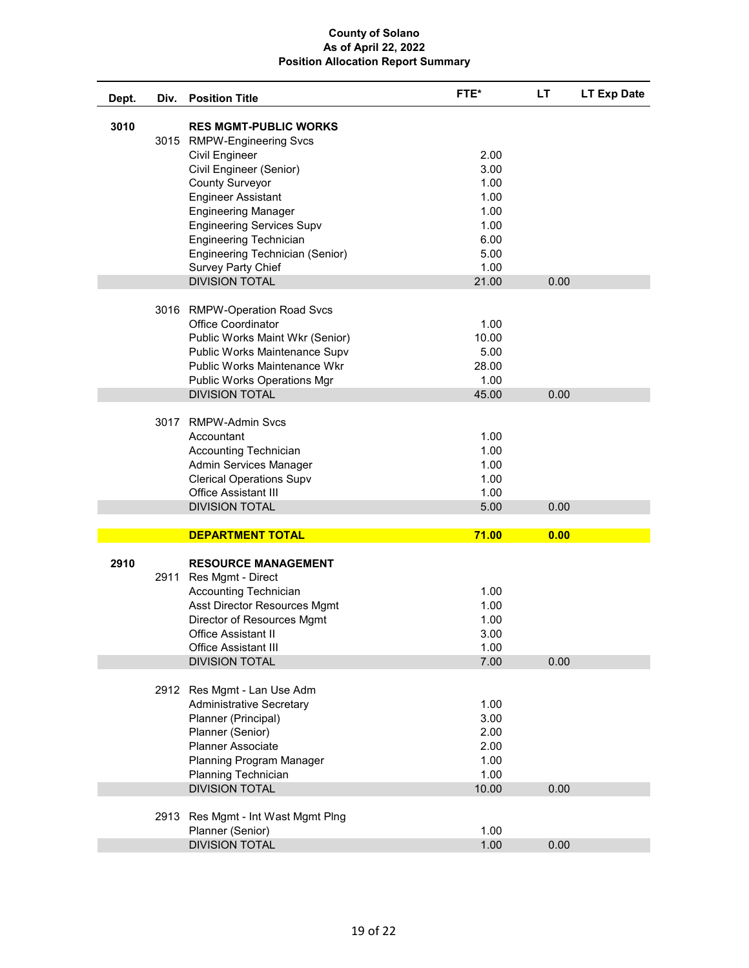| Dept. | Div. | <b>Position Title</b>                                                                                                                                                                                                                                                                                                                                      | FTE*                                                                          | <b>LT</b> | <b>LT Exp Date</b> |
|-------|------|------------------------------------------------------------------------------------------------------------------------------------------------------------------------------------------------------------------------------------------------------------------------------------------------------------------------------------------------------------|-------------------------------------------------------------------------------|-----------|--------------------|
| 3010  |      | <b>RES MGMT-PUBLIC WORKS</b><br>3015 RMPW-Engineering Svcs<br><b>Civil Engineer</b><br>Civil Engineer (Senior)<br><b>County Surveyor</b><br><b>Engineer Assistant</b><br><b>Engineering Manager</b><br><b>Engineering Services Supv</b><br><b>Engineering Technician</b><br>Engineering Technician (Senior)<br>Survey Party Chief<br><b>DIVISION TOTAL</b> | 2.00<br>3.00<br>1.00<br>1.00<br>1.00<br>1.00<br>6.00<br>5.00<br>1.00<br>21.00 | 0.00      |                    |
|       |      | 3016 RMPW-Operation Road Svcs<br><b>Office Coordinator</b><br>Public Works Maint Wkr (Senior)<br>Public Works Maintenance Supv<br>Public Works Maintenance Wkr<br><b>Public Works Operations Mgr</b><br><b>DIVISION TOTAL</b>                                                                                                                              | 1.00<br>10.00<br>5.00<br>28.00<br>1.00<br>45.00                               | 0.00      |                    |
|       | 3017 | <b>RMPW-Admin Svcs</b><br>Accountant<br><b>Accounting Technician</b><br>Admin Services Manager<br><b>Clerical Operations Supv</b><br><b>Office Assistant III</b><br><b>DIVISION TOTAL</b>                                                                                                                                                                  | 1.00<br>1.00<br>1.00<br>1.00<br>1.00<br>5.00                                  | 0.00      |                    |
|       |      |                                                                                                                                                                                                                                                                                                                                                            |                                                                               |           |                    |
|       |      | <b>DEPARTMENT TOTAL</b>                                                                                                                                                                                                                                                                                                                                    | 71.00                                                                         | 0.00      |                    |
| 2910  | 2911 | <b>RESOURCE MANAGEMENT</b><br>Res Mgmt - Direct<br>Accounting Technician<br>Asst Director Resources Mgmt<br>Director of Resources Mgmt<br>Office Assistant II<br><b>Office Assistant III</b><br><b>DIVISION TOTAL</b>                                                                                                                                      | 1.00<br>1.00<br>1.00<br>3.00<br>1.00<br>7.00                                  | 0.00      |                    |
|       | 2913 | 2912 Res Mgmt - Lan Use Adm<br><b>Administrative Secretary</b><br>Planner (Principal)<br>Planner (Senior)<br><b>Planner Associate</b><br>Planning Program Manager<br>Planning Technician<br><b>DIVISION TOTAL</b><br>Res Mgmt - Int Wast Mgmt Plng                                                                                                         | 1.00<br>3.00<br>2.00<br>2.00<br>1.00<br>1.00<br>10.00                         | 0.00      |                    |
|       |      | Planner (Senior)<br><b>DIVISION TOTAL</b>                                                                                                                                                                                                                                                                                                                  | 1.00<br>1.00                                                                  | 0.00      |                    |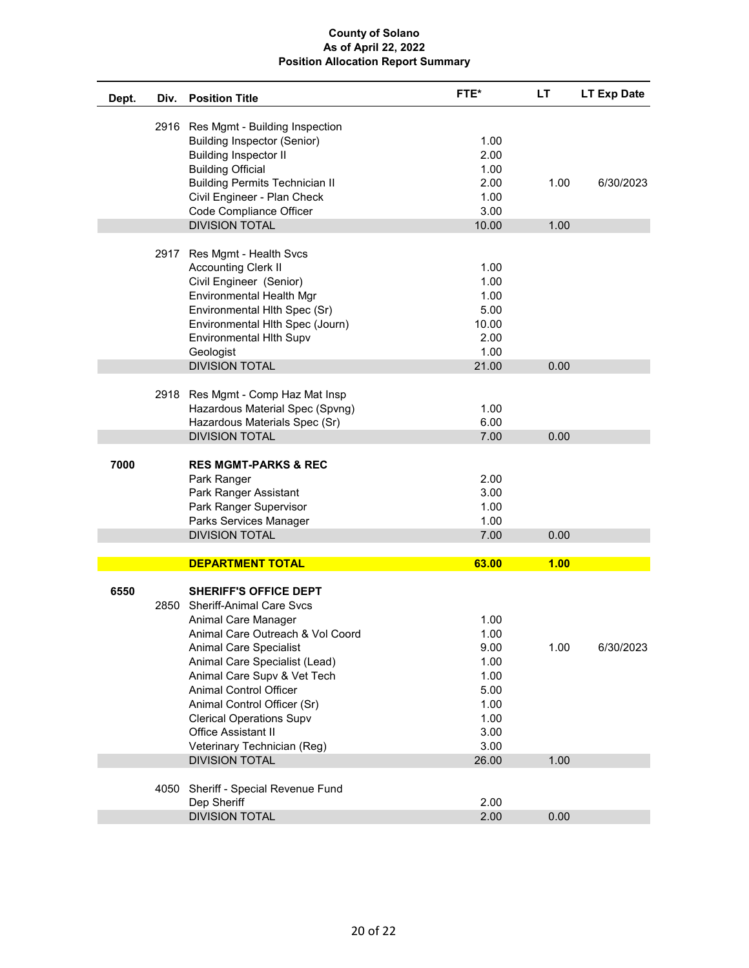| Dept. | Div. | <b>Position Title</b>                 | FTE*  | <b>LT</b> | LT Exp Date |
|-------|------|---------------------------------------|-------|-----------|-------------|
|       |      | 2916 Res Mgmt - Building Inspection   |       |           |             |
|       |      | <b>Building Inspector (Senior)</b>    | 1.00  |           |             |
|       |      | <b>Building Inspector II</b>          | 2.00  |           |             |
|       |      | <b>Building Official</b>              | 1.00  |           |             |
|       |      | <b>Building Permits Technician II</b> | 2.00  | 1.00      | 6/30/2023   |
|       |      | Civil Engineer - Plan Check           | 1.00  |           |             |
|       |      | Code Compliance Officer               | 3.00  |           |             |
|       |      | <b>DIVISION TOTAL</b>                 | 10.00 | 1.00      |             |
|       | 2917 | Res Mgmt - Health Svcs                |       |           |             |
|       |      | <b>Accounting Clerk II</b>            | 1.00  |           |             |
|       |      | Civil Engineer (Senior)               | 1.00  |           |             |
|       |      | Environmental Health Mgr              | 1.00  |           |             |
|       |      | Environmental Hlth Spec (Sr)          | 5.00  |           |             |
|       |      | Environmental Hlth Spec (Journ)       | 10.00 |           |             |
|       |      | <b>Environmental Hith Supv</b>        | 2.00  |           |             |
|       |      | Geologist                             | 1.00  |           |             |
|       |      | <b>DIVISION TOTAL</b>                 | 21.00 | 0.00      |             |
|       | 2918 | Res Mgmt - Comp Haz Mat Insp          |       |           |             |
|       |      | Hazardous Material Spec (Spvng)       | 1.00  |           |             |
|       |      | Hazardous Materials Spec (Sr)         | 6.00  |           |             |
|       |      | <b>DIVISION TOTAL</b>                 | 7.00  | 0.00      |             |
| 7000  |      | <b>RES MGMT-PARKS &amp; REC</b>       |       |           |             |
|       |      | Park Ranger                           | 2.00  |           |             |
|       |      | Park Ranger Assistant                 | 3.00  |           |             |
|       |      | Park Ranger Supervisor                | 1.00  |           |             |
|       |      | Parks Services Manager                | 1.00  |           |             |
|       |      | <b>DIVISION TOTAL</b>                 | 7.00  | 0.00      |             |
|       |      |                                       |       |           |             |
|       |      | <b>DEPARTMENT TOTAL</b>               | 63.00 | 1.00      |             |
| 6550  |      | <b>SHERIFF'S OFFICE DEPT</b>          |       |           |             |
|       | 2850 | <b>Sheriff-Animal Care Svcs</b>       |       |           |             |
|       |      | Animal Care Manager                   | 1.00  |           |             |
|       |      | Animal Care Outreach & Vol Coord      | 1.00  |           |             |
|       |      | <b>Animal Care Specialist</b>         | 9.00  | 1.00      | 6/30/2023   |
|       |      | Animal Care Specialist (Lead)         | 1.00  |           |             |
|       |      | Animal Care Supv & Vet Tech           | 1.00  |           |             |
|       |      | <b>Animal Control Officer</b>         | 5.00  |           |             |
|       |      | Animal Control Officer (Sr)           | 1.00  |           |             |
|       |      | <b>Clerical Operations Supv</b>       | 1.00  |           |             |
|       |      | <b>Office Assistant II</b>            | 3.00  |           |             |
|       |      | Veterinary Technician (Reg)           | 3.00  |           |             |
|       |      | <b>DIVISION TOTAL</b>                 | 26.00 | 1.00      |             |
|       | 4050 | Sheriff - Special Revenue Fund        |       |           |             |
|       |      | Dep Sheriff                           | 2.00  |           |             |
|       |      | <b>DIVISION TOTAL</b>                 | 2.00  | 0.00      |             |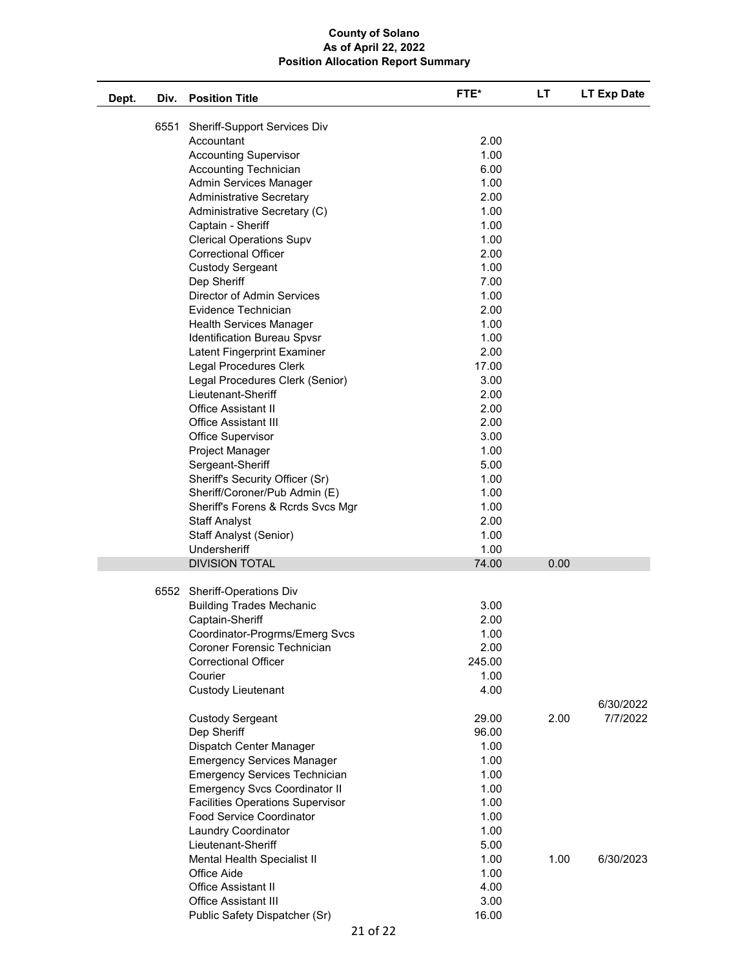| Dept. | Div. | <b>Position Title</b>                   | FTE*   | LT   | LT Exp Date |
|-------|------|-----------------------------------------|--------|------|-------------|
|       | 6551 | <b>Sheriff-Support Services Div</b>     |        |      |             |
|       |      | Accountant                              | 2.00   |      |             |
|       |      | <b>Accounting Supervisor</b>            | 1.00   |      |             |
|       |      | <b>Accounting Technician</b>            | 6.00   |      |             |
|       |      | Admin Services Manager                  | 1.00   |      |             |
|       |      | <b>Administrative Secretary</b>         | 2.00   |      |             |
|       |      | Administrative Secretary (C)            | 1.00   |      |             |
|       |      | Captain - Sheriff                       | 1.00   |      |             |
|       |      | <b>Clerical Operations Supv</b>         | 1.00   |      |             |
|       |      | <b>Correctional Officer</b>             | 2.00   |      |             |
|       |      | <b>Custody Sergeant</b>                 | 1.00   |      |             |
|       |      | Dep Sheriff                             | 7.00   |      |             |
|       |      | <b>Director of Admin Services</b>       | 1.00   |      |             |
|       |      | Evidence Technician                     | 2.00   |      |             |
|       |      | <b>Health Services Manager</b>          | 1.00   |      |             |
|       |      | Identification Bureau Spvsr             | 1.00   |      |             |
|       |      | Latent Fingerprint Examiner             | 2.00   |      |             |
|       |      | Legal Procedures Clerk                  | 17.00  |      |             |
|       |      | Legal Procedures Clerk (Senior)         | 3.00   |      |             |
|       |      | Lieutenant-Sheriff                      | 2.00   |      |             |
|       |      | <b>Office Assistant II</b>              | 2.00   |      |             |
|       |      | <b>Office Assistant III</b>             | 2.00   |      |             |
|       |      | Office Supervisor                       | 3.00   |      |             |
|       |      | Project Manager                         | 1.00   |      |             |
|       |      | Sergeant-Sheriff                        | 5.00   |      |             |
|       |      | Sheriff's Security Officer (Sr)         | 1.00   |      |             |
|       |      | Sheriff/Coroner/Pub Admin (E)           | 1.00   |      |             |
|       |      | Sheriff's Forens & Rcrds Svcs Mgr       | 1.00   |      |             |
|       |      | <b>Staff Analyst</b>                    | 2.00   |      |             |
|       |      | Staff Analyst (Senior)                  | 1.00   |      |             |
|       |      | Undersheriff                            | 1.00   |      |             |
|       |      | <b>DIVISION TOTAL</b>                   | 74.00  | 0.00 |             |
|       | 6552 | Sheriff-Operations Div                  |        |      |             |
|       |      | <b>Building Trades Mechanic</b>         | 3.00   |      |             |
|       |      | Captain-Sheriff                         | 2.00   |      |             |
|       |      | Coordinator-Progrms/Emerg Svcs          | 1.00   |      |             |
|       |      | Coroner Forensic Technician             | 2.00   |      |             |
|       |      | <b>Correctional Officer</b>             | 245.00 |      |             |
|       |      | Courier                                 | 1.00   |      |             |
|       |      | <b>Custody Lieutenant</b>               | 4.00   |      |             |
|       |      |                                         |        |      | 6/30/2022   |
|       |      | <b>Custody Sergeant</b>                 | 29.00  | 2.00 | 7/7/2022    |
|       |      | Dep Sheriff                             | 96.00  |      |             |
|       |      | Dispatch Center Manager                 | 1.00   |      |             |
|       |      | <b>Emergency Services Manager</b>       | 1.00   |      |             |
|       |      | <b>Emergency Services Technician</b>    | 1.00   |      |             |
|       |      | <b>Emergency Svcs Coordinator II</b>    | 1.00   |      |             |
|       |      | <b>Facilities Operations Supervisor</b> | 1.00   |      |             |
|       |      | <b>Food Service Coordinator</b>         | 1.00   |      |             |
|       |      | <b>Laundry Coordinator</b>              | 1.00   |      |             |
|       |      | Lieutenant-Sheriff                      | 5.00   |      |             |
|       |      | Mental Health Specialist II             | 1.00   | 1.00 | 6/30/2023   |
|       |      | Office Aide                             | 1.00   |      |             |
|       |      | Office Assistant II                     | 4.00   |      |             |
|       |      | <b>Office Assistant III</b>             | 3.00   |      |             |
|       |      | Public Safety Dispatcher (Sr)           | 16.00  |      |             |
|       |      |                                         |        |      |             |